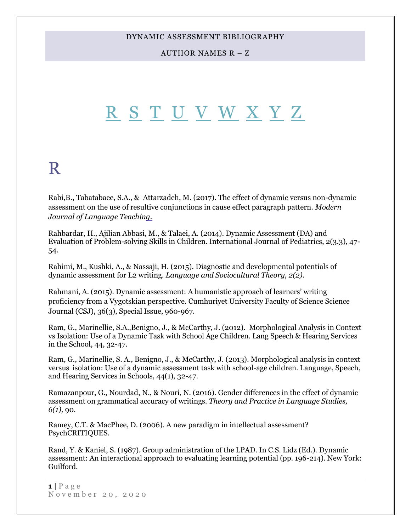#### AUTHOR NAMES R – Z

# <span id="page-0-1"></span>[R](#page-0-0) [S](#page-9-0) [T](#page-22-0) [U](#page-29-0) [V](#page-30-0) [W](#page-34-0) [X](#page-39-0) [Y](#page-39-1) [Z](#page-40-0)

# <span id="page-0-0"></span>R

Rabi,B., Tabatabaee, S.A., & Attarzadeh, M. (2017). The effect of dynamic versus non-dynamic assessment on the use of resultive conjunctions in cause effect paragraph pattern. *Modern Journal of Language Teaching.* 

Rahbardar, H., Ajilian Abbasi, M., & Talaei, A. (2014). Dynamic Assessment (DA) and Evaluation of Problem-solving Skills in Children. International Journal of Pediatrics, 2(3.3), 47- 54.

Rahimi, M., Kushki, A., & Nassaji, H. (2015). Diagnostic and developmental potentials of dynamic assessment for L2 writing. *Language and Sociocultural Theory, 2(2).*

Rahmani, A. (2015). Dynamic assessment: A humanistic approach of learners' writing proficiency from a Vygotskian perspective. Cumhuriyet University Faculty of Science Science Journal (CSJ), 36(3), Special Issue, 960-967.

Ram, G., Marinellie, S.A.,Benigno, J., & McCarthy, J. (2012). Morphological Analysis in Context vs Isolation: Use of a Dynamic Task with School Age Children. Lang Speech & Hearing Services in the School, 44, 32-47.

Ram, G., Marinellie, S. A., Benigno, J., & McCarthy, J. (2013). Morphological analysis in context versus isolation: Use of a dynamic assessment task with school-age children. Language, Speech, and Hearing Services in Schools, 44(1), 32-47.

Ramazanpour, G., Nourdad, N., & Nouri, N. (2016). Gender differences in the effect of dynamic assessment on grammatical accuracy of writings. *Theory and Practice in Language Studies, 6(1),* 90.

Ramey, C.T. & MacPhee, D. (2006). A new paradigm in intellectual assessment? PsychCRITIQUES.

Rand, Y. & Kaniel, S. (1987). Group administration of the LPAD. In C.S. Lidz (Ed.). Dynamic assessment: An interactional approach to evaluating learning potential (pp. 196-214). New York: Guilford.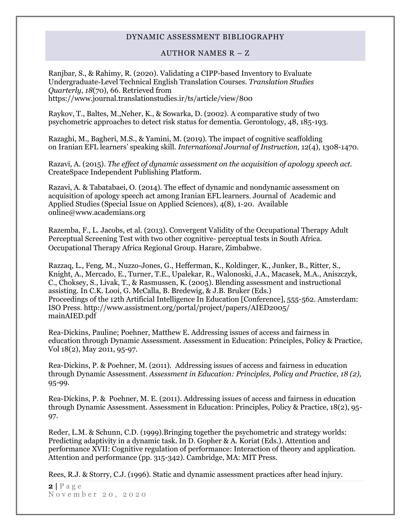#### AUTHOR NAMES R – Z

Ranjbar, S., & Rahimy, R. (2020). Validating a CIPP-based Inventory to Evaluate Undergraduate-Level Technical English Translation Courses. *Translation Studies Quarterly*, *18*(70), 66. Retrieved from https://www.journal.translationstudies.ir/ts/article/view/800

Raykov, T., Baltes, M.,Neher, K., & Sowarka, D. (2002). A comparative study of two psychometric approaches to detect risk status for dementia. Gerontology, 48, 185-193.

Razaghi, M., Bagheri, M.S., & Yamini, M. (2019). The impact of cognitive scaffolding on Iranian EFL learners' speaking skill. *International Journal of Instruction,* 12(4), 1308-1470.

Razavi, A. (2015). *The effect of dynamic assessment on the acquisition of apology speech act.* CreateSpace Independent Publishing Platform.

Razavi, A. & Tabatabaei, O. (2014). The effect of dynamic and nondynamic assessment on acquisition of apology speech act among Iranian EFL learners. Journal of Academic and Applied Studies (Special Issue on Applied Sciences), 4(8), 1-20. Available online@www.academians.org

Razemba, F., L. Jacobs, et al. (2013). Convergent Validity of the Occupational Therapy Adult Perceptual Screening Test with two other cognitive- perceptual tests in South Africa. Occupational Therapy Africa Regional Group. Harare, Zimbabwe.

Razzaq, L., Feng, M., Nuzzo-Jones, G., Hefferman, K., Koldinger, K., Junker, B., Ritter, S., Knight, A., Mercado, E., Turner, T.E., Upalekar, R., Walonoski, J.A., Macasek, M.A., Aniszczyk, C., Choksey, S., Livak, T., & Rasmussen, K. (2005). Blending assessment and instructional assisting. In C.K. Looi, G. McCalla, B. Bredewig, & J.B. Bruker (Eds.) Proceedings of the 12th Artificial Intelligence In Education [Conference], 555-562. Amsterdam: ISO Press. http://www.assistment.org/portal/project/papers/AIED2005/ mainAIED.pdf

Rea-Dickins, Pauline; Poehner, Matthew E. Addressing issues of access and fairness in education through Dynamic Assessment. Assessment in Education: Principles, Policy & Practice, Vol 18(2), May 2011, 95-97.

Rea-Dickins, P. & Poehner, M. (2011). [Addressing issues of access and fairness in education](http://www.ingentaconnect.com/search/article?title=%22dynamic+assessment&title_type=tka&year_from=1998&year_to=2009&database=1&pageSize=50&index=1)  [through Dynamic Assessment.](http://www.ingentaconnect.com/search/article?title=%22dynamic+assessment&title_type=tka&year_from=1998&year_to=2009&database=1&pageSize=50&index=1) *[Assessment in Education: Principles, Policy and](http://www.ingentaconnect.com/content/routledg/caie) Practice, 18 (2),* 95-99.

Rea-Dickins, P. & Poehner, M. E. (2011). Addressing issues of access and fairness in education through Dynamic Assessment. Assessment in Education: Principles, Policy & Practice, 18(2), 95- 97.

Reder, L.M. & Schunn, C.D. (1999).Bringing together the psychometric and strategy worlds: Predicting adaptivity in a dynamic task. In D. Gopher & A. Koriat (Eds.). Attention and performance XVII: Cognitive regulation of performance: Interaction of theory and application. Attention and performance (pp. 315-342). Cambridge, MA: MIT Press.

Rees, R.J. & Storry, C.J. (1996). Static and dynamic assessment practices after head injury.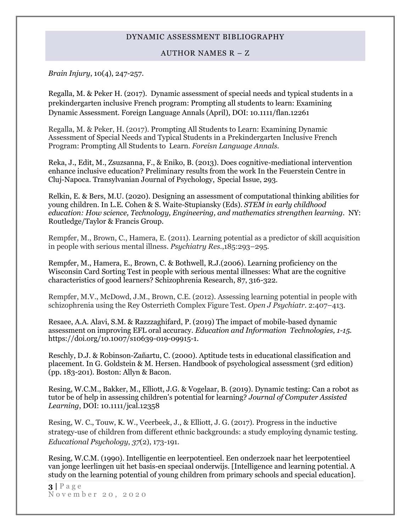#### AUTHOR NAMES R – Z

*Brain Injury*, 10(4), 247-257.

Regalla, M. & Peker H. (2017). Dynamic assessment of special needs and typical students in a prekindergarten inclusive French program: Prompting all students to learn: Examining Dynamic Assessment. Foreign Language Annals (April), DOI: 10.1111/flan.12261

Regalla, M. & Peker, H. (2017). Prompting All Students to Learn: Examining Dynamic Assessment of Special Needs and Typical Students in a Prekindergarten Inclusive French Program: Prompting All Students to Learn. *Foreisn Language Annals.*

Reka, J., Edit, M., Zsuzsanna, F., & Eniko, B. (2013). Does cognitive-mediational intervention enhance inclusive education? Preliminary results from the work In the Feuerstein Centre in Cluj-Napoca. Transylvanian Journal of Psychology, Special Issue, 293.

Relkin, E. & Bers, M.U. (2020). Designing an assessment of computational thinking abilities for young children. In L.E. Cohen & S. Waite-Stupiansky (Eds). *STEM in early childhood education: How science, Technology, Engineering, and mathematics strengthen learning.* NY: Routledge/Taylor & Francis Group.

Rempfer, M., Brown, C., Hamera, E. (2011). Learning potential as a predictor of skill acquisition in people with serious mental illness. *Psychiatry Res.*,185:293–295.

Rempfer, M., Hamera, E., Brown, C. & Bothwell, R.J.(2006). Learning proficiency on the Wisconsin Card Sorting Test in people with serious mental illnesses: What are the cognitive characteristics of good learners? Schizophrenia Research, 87, 316-322.

Rempfer, M.V., McDowd, J.M., Brown, C.E. (2012). Assessing learning potential in people with schizophrenia using the Rey Osterrieth Complex Figure Test. *Open J Psychiatr*. 2:407–413.

Resaee, A.A. Alavi, S.M. & Razzzaghifard, P. (2019) The impact of mobile-based dynamic assessment on improving EFL oral accuracy. *Education and Information Technologies, 1-15.* https://doi.org/10.1007/s10639-019-09915-1.

Reschly, D.J. & Robinson-Zañartu, C. (2000). Aptitude tests in educational classification and placement. In G. Goldstein & M. Hersen. Handbook of psychological assessment (3rd edition) (pp. 183-201). Boston: Allyn & Bacon.

Resing, W.C.M., Bakker, M., Elliott, J.G. & Vogelaar, B. (2019). Dynamic testing: Can a robot as tutor be of help in assessing children's potential for learning? *Journal of Computer Assisted Learning*, DOI: 10.1111/jcal.12358

Resing, W. C., Touw, K. W., Veerbeek, J., & Elliott, J. G. (2017). Progress in the inductive strategy-use of children from different ethnic backgrounds: a study employing dynamic testing. *Educational Psychology*, *37*(2), 173-191.

Resing, W.C.M. (1990). Intelligentie en leerpotentieel. Een onderzoek naar het leerpotentieel van jonge leerlingen uit het basis-en speciaal onderwijs. [Intelligence and learning potential. A study on the learning potential of young children from primary schools and special education].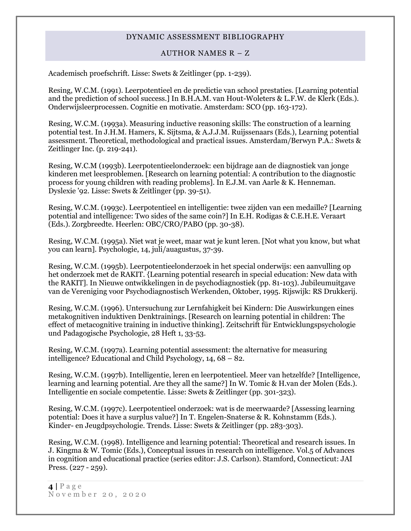#### AUTHOR NAMES R – Z

Academisch proefschrift. Lisse: Swets & Zeitlinger (pp. 1-239).

Resing, W.C.M. (1991). Leerpotentieel en de predictie van school prestaties. [Learning potential and the prediction of school success.] In B.H.A.M. van Hout-Woleters & L.F.W. de Klerk (Eds.). Onderwijsleerprocessen. Cognitie en motivatie. Amsterdam: SCO (pp. 163-172).

Resing, W.C.M. (1993a). Measuring inductive reasoning skills: The construction of a learning potential test. In J.H.M. Hamers, K. Sijtsma, & A.J.J.M. Ruijssenaars (Eds.), Learning potential assessment. Theoretical, methodological and practical issues. Amsterdam/Berwyn P.A.: Swets & Zeitlinger Inc. (p. 219-241).

Resing, W.C.M (1993b). Leerpotentieelonderzoek: een bijdrage aan de diagnostiek van jonge kinderen met leesproblemen. [Research on learning potential: A contribution to the diagnostic process for young children with reading problems]. In E.J.M. van Aarle & K. Henneman. Dyslexie '92. Lisse: Swets & Zeitlinger (pp. 39-51).

Resing, W.C.M. (1993c). Leerpotentieel en intelligentie: twee zijden van een medaille? [Learning potential and intelligence: Two sides of the same coin?] In E.H. Rodigas & C.E.H.E. Veraart (Eds.). Zorgbreedte. Heerlen: OBC/CRO/PABO (pp. 30-38).

Resing, W.C.M. (1995a). Niet wat je weet, maar wat je kunt leren. [Not what you know, but what you can learn]. Psychologie, 14, juli/auagustus, 37-39.

Resing, W.C.M. (1995b). Leerpotentieelonderzoek in het special onderwijs: een aanvulling op het onderzoek met de RAKIT. {Learning potential research in special education: New data with the RAKIT]. In Nieuwe ontwikkelingen in de psychodiagnostiek (pp. 81-103). Jubileumuitgave van de Vereniging voor Psychodiagnostisch Werkenden, Oktober, 1995. Rijswijk: RS Drukkerij.

Resing, W.C.M. (1996). Untersuchung zur Lernfahigkeit bei Kindern: Die Auswirkungen eines metakognitiven induktiven Denktrainings. [Research on learning potential in children: The effect of metacognitive training in inductive thinking]. Zeitschrift für Entwicklungspsychologie und Padagogische Psychologie, 28 Heft 1, 33-53.

Resing, W.C.M. (1997a). Learning potential assessment: the alternative for measuring intelligence? Educational and Child Psychology, 14, 68 – 82.

Resing, W.C.M. (1997b). Intelligentie, leren en leerpotentieel. Meer van hetzelfde? [Intelligence, learning and learning potential. Are they all the same?] In W. Tomic & H.van der Molen (Eds.). Intelligentie en sociale competentie. Lisse: Swets & Zeitlinger (pp. 301-323).

Resing, W.C.M. (1997c). Leerpotentieel onderzoek: wat is de meerwaarde? [Assessing learning potential: Does it have a surplus value?] In T. Engelen-Snaterse & R. Kohnstamm (Eds.). Kinder- en Jeugdpsychologie. Trends. Lisse: Swets & Zeitlinger (pp. 283-303).

Resing, W.C.M. (1998). Intelligence and learning potential: Theoretical and research issues. In J. Kingma & W. Tomic (Eds.), Conceptual issues in research on intelligence. Vol.5 of Advances in cognition and educational practice (series editor: J.S. Carlson). Stamford, Connecticut: JAI Press. (227 - 259).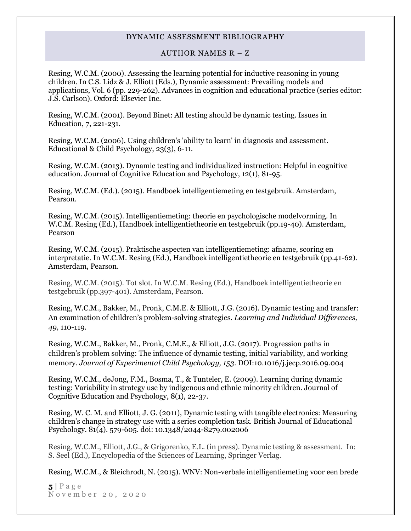#### AUTHOR NAMES R – Z

Resing, W.C.M. (2000). Assessing the learning potential for inductive reasoning in young children. In C.S. Lidz & J. Elliott (Eds.), Dynamic assessment: Prevailing models and applications, Vol. 6 (pp. 229-262). Advances in cognition and educational practice (series editor: J.S. Carlson). Oxford: Elsevier Inc.

Resing, W.C.M. (2001). Beyond Binet: All testing should be dynamic testing. Issues in Education, 7, 221-231.

Resing, W.C.M. (2006). Using children's 'ability to learn' in diagnosis and assessment. Educational & Child Psychology, 23(3), 6-11.

Resing, W.C.M. (2013). Dynamic testing and individualized instruction: Helpful in cognitive education. Journal of Cognitive Education and Psychology, 12(1), 81-95.

Resing, W.C.M. (Ed.). (2015). Handboek intelligentiemeting en testgebruik. Amsterdam, Pearson.

Resing, W.C.M. (2015). Intelligentiemeting: theorie en psychologische modelvorming. In W.C.M. Resing (Ed.), Handboek intelligentietheorie en testgebruik (pp.19-40). Amsterdam, Pearson

Resing, W.C.M. (2015). Praktische aspecten van intelligentiemeting: afname, scoring en interpretatie. In W.C.M. Resing (Ed.), Handboek intelligentietheorie en testgebruik (pp.41-62). Amsterdam, Pearson.

[Resing, W.C.M. \(2015\). Tot slot. In W.C.M. Resing \(Ed.\), Handboek intelligentietheorie en](https://www.researchgate.net/publication/281438003_Resing_W.C.M._%282015%29._Tot_slot._In_W.C.M._Resing_%28Ed.%29_Handboek_intelligentietheorie_en_testgebruik_%28pp.397-401%29._Amsterdam_Pearson)  [testgebruik \(pp.397-401\). Amsterdam, Pearson.](https://www.researchgate.net/publication/281438003_Resing_W.C.M._%282015%29._Tot_slot._In_W.C.M._Resing_%28Ed.%29_Handboek_intelligentietheorie_en_testgebruik_%28pp.397-401%29._Amsterdam_Pearson)

Resing, W.C.M., Bakker, M., Pronk, C.M.E. & Elliott, J.G. (2016). Dynamic testing and transfer: An examination of children's problem-solving strategies. *Learning and Individual Differences, 49,* 110-119.

Resing, W.C.M., Bakker, M., Pronk, C.M.E., & Elliott, J.G. (2017)[. Progression paths in](https://www.researchgate.net/publication/308923210_Progression_paths_in_children%27s_problem_solving_The_influence_of_dynamic_testing_initial_variability_and_working_memory?_iepl%5BviewId%5D=p9YnnvOEOT7lHld7Tgj7BIJ2uJ0bUMBerKfc&_iepl%5Bcontexts%5D%5B0%5D=prfhpi&_iepl%5Bdata%5D%5BstandardItemCount%5D=3&_iepl%5Bdata%5D%5BuserSelectedItemCount%5D=0&_iepl%5Bdata%5D%5BtopHighlightCount%5D=1&_iepl%5Bdata%5D%5BstandardItemIndex%5D=1&_iepl%5Bdata%5D%5BstandardItem1of3%5D=1&_iepl%5BtargetEntityId%5D=PB%3A308923210&_iepl%5BinteractionType%5D=publicationTitle)  [children's problem solving: The influence of](https://www.researchgate.net/publication/308923210_Progression_paths_in_children%27s_problem_solving_The_influence_of_dynamic_testing_initial_variability_and_working_memory?_iepl%5BviewId%5D=p9YnnvOEOT7lHld7Tgj7BIJ2uJ0bUMBerKfc&_iepl%5Bcontexts%5D%5B0%5D=prfhpi&_iepl%5Bdata%5D%5BstandardItemCount%5D=3&_iepl%5Bdata%5D%5BuserSelectedItemCount%5D=0&_iepl%5Bdata%5D%5BtopHighlightCount%5D=1&_iepl%5Bdata%5D%5BstandardItemIndex%5D=1&_iepl%5Bdata%5D%5BstandardItem1of3%5D=1&_iepl%5BtargetEntityId%5D=PB%3A308923210&_iepl%5BinteractionType%5D=publicationTitle) dynamic testing, initial variability, and working [memory.](https://www.researchgate.net/publication/308923210_Progression_paths_in_children%27s_problem_solving_The_influence_of_dynamic_testing_initial_variability_and_working_memory?_iepl%5BviewId%5D=p9YnnvOEOT7lHld7Tgj7BIJ2uJ0bUMBerKfc&_iepl%5Bcontexts%5D%5B0%5D=prfhpi&_iepl%5Bdata%5D%5BstandardItemCount%5D=3&_iepl%5Bdata%5D%5BuserSelectedItemCount%5D=0&_iepl%5Bdata%5D%5BtopHighlightCount%5D=1&_iepl%5Bdata%5D%5BstandardItemIndex%5D=1&_iepl%5Bdata%5D%5BstandardItem1of3%5D=1&_iepl%5BtargetEntityId%5D=PB%3A308923210&_iepl%5BinteractionType%5D=publicationTitle) *Journal of Experimental Child Psychology, 153*. DOI:10.1016/j.jecp.2016.09.004

Resing, W.C.M., deJong, F.M., Bosma, T., & Tunteler, E. (2009). Learning during dynamic testing: Variability in strategy use by indigenous and ethnic minority children. Journal of Cognitive Education and Psychology, 8(1), 22-37.

Resing, W. C. M. and Elliott, J. G. (2011), Dynamic testing with tangible electronics: Measuring children's change in strategy use with a series completion task. British Journal of Educational Psychology. 81(4). 579-605. doi: 10.1348/2044-8279.002006

Resing, W.C.M., Elliott, J.G., & Grigorenko, E.L. (in press). Dynamic testing & assessment. In: S. Seel (Ed.), Encyclopedia of the Sciences of Learning, Springer Verlag.

Resing, W.C.M., & Bleichrodt, N. (2015). WNV: Non-verbale intelligentiemeting voor een brede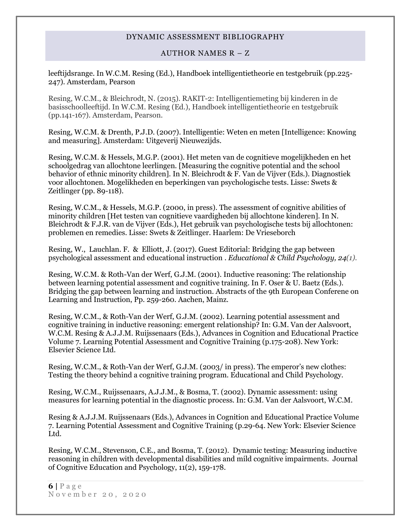## AUTHOR NAMES R – Z

leeftijdsrange. In W.C.M. Resing (Ed.), Handboek intelligentietheorie en testgebruik (pp.225- 247). Amsterdam, Pearson

[Resing, W.C.M., & Bleichrodt, N. \(2015\). RAKIT-2: Intelligentiemeting bij kinderen in de](https://www.researchgate.net/publication/281438019_Resing_W.C.M.__Bleichrodt_N._%282015%29._RAKIT-2_Intelligentiemeting_bij_kinderen_in_de_basisschoolleeftijd._In_W.C.M._Resing_%28Ed.%29_Handboek_intelligentietheorie_en_testgebruik_%28pp.141-167%29._Amsterdam_Pearson)  [basisschoolleeftijd. In W.C.M. Resing \(Ed.\), Handboek intelligentietheorie en testgebruik](https://www.researchgate.net/publication/281438019_Resing_W.C.M.__Bleichrodt_N._%282015%29._RAKIT-2_Intelligentiemeting_bij_kinderen_in_de_basisschoolleeftijd._In_W.C.M._Resing_%28Ed.%29_Handboek_intelligentietheorie_en_testgebruik_%28pp.141-167%29._Amsterdam_Pearson)  [\(pp.141-167\). Amsterdam, Pearson.](https://www.researchgate.net/publication/281438019_Resing_W.C.M.__Bleichrodt_N._%282015%29._RAKIT-2_Intelligentiemeting_bij_kinderen_in_de_basisschoolleeftijd._In_W.C.M._Resing_%28Ed.%29_Handboek_intelligentietheorie_en_testgebruik_%28pp.141-167%29._Amsterdam_Pearson)

Resing, W.C.M. & Drenth, P.J.D. (2007). Intelligentie: Weten en meten [Intelligence: Knowing and measuring]. Amsterdam: Uitgeverij Nieuwezijds.

Resing, W.C.M. & Hessels, M.G.P. (2001). Het meten van de cognitieve mogelijkheden en het schoolgedrag van allochtone leerlingen. [Measuring the cognitive potential and the school behavior of ethnic minority children]. In N. Bleichrodt & F. Van de Vijver (Eds.). Diagnostiek voor allochtonen. Mogelikheden en beperkingen van psychologische tests. Lisse: Swets & Zeitlinger (pp. 89-118).

Resing, W.C.M., & Hessels, M.G.P. (2000, in press). The assessment of cognitive abilities of minority children [Het testen van cognitieve vaardigheden bij allochtone kinderen]. In N. Bleichrodt & F.J.R. van de Vijver (Eds.), Het gebruik van psychologische tests bij allochtonen: problemen en remedies. Lisse: Swets & Zeitlinger. Haarlem: De Vrieseborch

Resing, W., Lauchlan. F. & Elliott, J. (2017). Guest Editorial: Bridging the gap between psychological assessment and educational instruction . *Educational & Child Psychology, 24(1).*

Resing, W.C.M. & Roth-Van der Werf, G.J.M. (2001). Inductive reasoning: The relationship between learning potential assessment and cognitive training. In F. Oser & U. Baetz (Eds.). Bridging the gap between learning and instruction. Abstracts of the 9th European Conferene on Learning and Instruction, Pp. 259-260. Aachen, Mainz.

Resing, W.C.M., & Roth-Van der Werf, G.J.M. (2002). Learning potential assessment and cognitive training in inductive reasoning: emergent relationship? In: G.M. Van der Aalsvoort, W.C.M. Resing & A.J.J.M. Ruijssenaars (Eds.), Advances in Cognition and Educational Practice Volume 7. Learning Potential Assessment and Cognitive Training (p.175-208). New York: Elsevier Science Ltd.

Resing, W.C.M., & Roth-Van der Werf, G.J.M. (2003/ in press). The emperor's new clothes: Testing the theory behind a cognitive training program. Educational and Child Psychology.

Resing, W.C.M., Ruijssenaars, A.J.J.M., & Bosma, T. (2002). Dynamic assessment: using measures for learning potential in the diagnostic process. In: G.M. Van der Aalsvoort, W.C.M.

Resing & A.J.J.M. Ruijssenaars (Eds.), Advances in Cognition and Educational Practice Volume 7. Learning Potential Assessment and Cognitive Training (p.29-64. New York: Elsevier Science Ltd.

Resing, W.C.M., Stevenson, C.E., and Bosma, T. (2012). Dynamic testing: Measuring inductive reasoning in children with developmental disabilities and mild cognitive impairments. Journal of Cognitive Education and Psychology, 11(2), 159-178.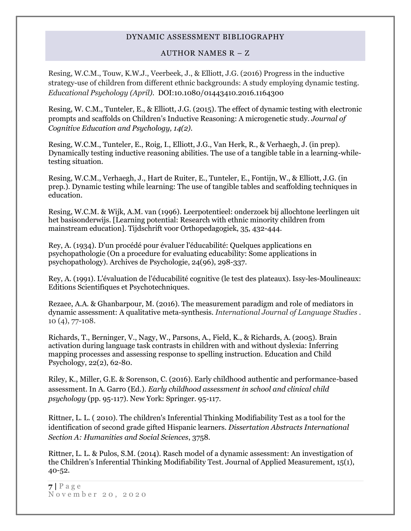## AUTHOR NAMES R – Z

Resing, W.C.M., Touw, K.W.J., Veerbeek, J., & Elliott, J.G. (2016) Progress in the inductive strategy-use of children from different ethnic backgrounds: A study employing dynamic testing. *Educational Psychology (April).* DOI:10.1080/01443410.2016.1164300

Resing, W. C.M., Tunteler, E., & Elliott, J.G. (2015). The effect of dynamic testing with electronic prompts and scaffolds on Children's Inductive Reasoning: A microgenetic study. *Journal of Cognitive Education and Psychology, 14(2).*

Resing, W.C.M., Tunteler, E., Roig, I., Elliott, J.G., Van Herk, R., & Verhaegh, J. (in prep). Dynamically testing inductive reasoning abilities. The use of a tangible table in a learning-whiletesting situation.

Resing, W.C.M., Verhaegh, J., Hart de Ruiter, E., Tunteler, E., Fontijn, W., & Elliott, J.G. (in prep.). Dynamic testing while learning: The use of tangible tables and scaffolding techniques in education.

Resing, W.C.M. & Wijk, A.M. van (1996). Leerpotentieel: onderzoek bij allochtone leerlingen uit het basisonderwijs. [Learning potential: Research with ethnic minority children from mainstream education]. Tijdschrift voor Orthopedagogiek, 35, 432-444.

Rey, A. (1934). D'un procédé pour évaluer l'éducabilité: Quelques applications en psychopathologie (On a procedure for evaluating educability: Some applications in psychopathology). Archives de Psychologie, 24(96), 298-337.

Rey, A. (1991). L'évaluation de l'éducabilité cognitive (le test des plateaux). Issy-les-Moulineaux: Editions Scientifiques et Psychotechniques.

Rezaee, A.A. & Ghanbarpour, M. (2016). The measurement paradigm and role of mediators in dynamic assessment: A qualitative meta-synthesis. *International Journal of Language Studies .* 10 (4), 77-108.

Richards, T., Berninger, V., Nagy, W., Parsons, A., Field, K., & Richards, A. (2005). Brain activation during language task contrasts in children with and without dyslexia: Inferring mapping processes and assessing response to spelling instruction. Education and Child Psychology, 22(2), 62-80.

Riley, K., Miller, G.E. & Sorenson, C. (2016). Early childhood authentic and performance-based assessment. In A. Garro (Ed.). *Early childhood assessment in school and clinical child psychology* (pp. 95-117). New York: Springer. 95-117.

Rittner, L. L. ( 2010). [The children's Inferential Thinking Modifiability Test as a tool for the](http://psycnet.apa.org/index.cfm?fa=search.displayRecord&id=B6F4B90D-9E21-EC1C-6F6D-88415430527F&resultID=24&page=1&dbTab=all)  [identification of second grade gifted Hispanic learners.](http://psycnet.apa.org/index.cfm?fa=search.displayRecord&id=B6F4B90D-9E21-EC1C-6F6D-88415430527F&resultID=24&page=1&dbTab=all) *Dissertation Abstracts International Section A: Humanities and Social Sciences*, 3758.

Rittner, L. L. & Pulos, S.M. (2014). Rasch model of a dynamic assessment: An investigation of the Children's Inferential Thinking Modifiability Test. Journal of Applied Measurement, 15(1), 40-52.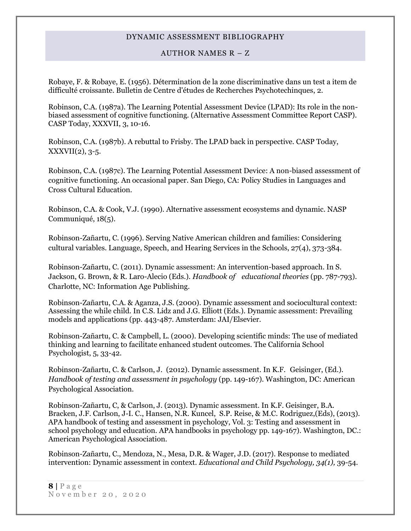#### AUTHOR NAMES R – Z

Robaye, F. & Robaye, E. (1956). Détermination de la zone discriminative dans un test a item de difficulté croissante. Bulletin de Centre d'études de Recherches Psychotechinques, 2.

Robinson, C.A. (1987a). The Learning Potential Assessment Device (LPAD): Its role in the nonbiased assessment of cognitive functioning. (Alternative Assessment Committee Report CASP). CASP Today, XXXVII, 3, 10-16.

Robinson, C.A. (1987b). A rebuttal to Frisby. The LPAD back in perspective. CASP Today,  $XXXVII(2), 3-5.$ 

Robinson, C.A. (1987c). The Learning Potential Assessment Device: A non-biased assessment of cognitive functioning. An occasional paper. San Diego, CA: Policy Studies in Languages and Cross Cultural Education.

Robinson, C.A. & Cook, V.J. (1990). Alternative assessment ecosystems and dynamic. NASP Communiqué, 18(5).

Robinson-Zañartu, C. (1996). Serving Native American children and families: Considering cultural variables. Language, Speech, and Hearing Services in the Schools, 27(4), 373-384.

Robinson-Zañartu, C. (2011). Dynamic assessment: An intervention-based approach. In S. Jackson, G. Brown, & R. Laro-Alecio (Eds.). *Handbook of educational theories* (pp. 787-793). Charlotte, NC: Information Age Publishing.

Robinson-Zañartu, C.A. & Aganza, J.S. (2000). Dynamic assessment and sociocultural context: Assessing the while child. In C.S. Lidz and J.G. Elliott (Eds.). Dynamic assessment: Prevailing models and applications (pp. 443-487. Amsterdam: JAI/Elsevier.

Robinson-Zañartu, C. & Campbell, L. (2000). Developing scientific minds: The use of mediated thinking and learning to facilitate enhanced student outcomes. The California School Psychologist, 5, 33-42.

Robinson-Zañartu, C. & Carlson, J. (2012). Dynamic assessment. In K.F. Geisinger, (Ed.). *Handbook of testing and assessment in psychology* (pp. 149-167). Washington, DC: American Psychological Association.

Robinson-Zañartu, C, & Carlson, J. (2013). Dynamic assessment. In K.F. Geisinger, B.A. Bracken, J.F. Carlson, J-I. C., Hansen, N.R. Kuncel, S.P. Reise, & M.C. Rodriguez,(Eds), (2013). APA handbook of testing and assessment in psychology, Vol. 3: Testing and assessment in school psychology and education. APA handbooks in psychology pp. 149-167). Washington, DC.: American Psychological Association.

Robinson-Zañartu, C., Mendoza, N., Mesa, D.R. & Wager, J.D. (2017). Response to mediated intervention: Dynamic assessment in context. *Educational and Child Psychology, 34(1),* 39-54.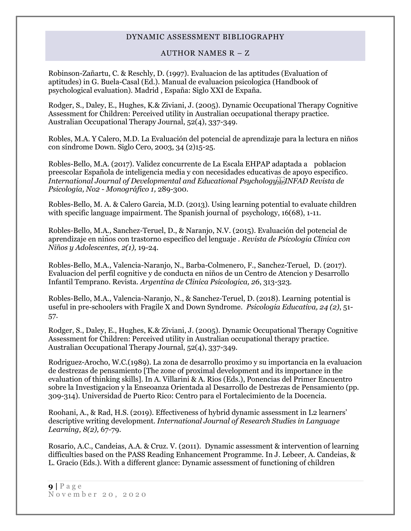#### AUTHOR NAMES R – Z

Robinson-Zañartu, C. & Reschly, D. (1997). Evaluacion de las aptitudes (Evaluation of aptitudes) in G. Buela-Casal (Ed.). Manual de evaluacion psicologica (Handbook of psychological evaluation). Madrid , España: Siglo XXI de Expaña.

Rodger, S., Daley, E., Hughes, K.& Ziviani, J. (2005). Dynamic Occupational Therapy Cognitive Assessment for Children: Perceived utility in Australian occupational therapy practice. Australian Occupational Therapy Journal, 52(4), 337-349.

Robles, M.A. Y Calero, M.D. La Evaluación del potencial de aprendizaje para la lectura en niños con síndrome Down. Siglo Cero, 2003, 34 (2)15-25.

Robles-Bello, M.A. (2017). Validez concurrente de La Escala EHPAP adaptada a poblacion preescolar Española de inteligencia media y con necesidades educativas de apoyo especifico*. International Journal of Developmental and Educational Psychology INFAD Revista de Psicología, No2 - Monográfico 1,* 289-300.

Robles-Bello, M. A. & Calero Garcia, M.D. (2013). Using learning potential to evaluate children with specific language impairment. The Spanish journal of psychology,  $16(68)$ , 1-11.

Robles-Bello, M.A., Sanchez-Teruel, D., & Naranjo, N.V. (2015). Evaluación del potencial de aprendizaje en niños con trastorno específico del lenguaje . *Revista de Psicologia Clinica con Niños y Adolescentes, 2(1),* 19-24.

Robles-Bello, M.A., Valencia-Naranjo, N., Barba-Colmenero, F., Sanchez-Teruel, D. (2017). Evaluacion del perfil cognitive y de conducta en niños de un Centro de Atencion y Desarrollo Infantil Temprano. Revista. *Argentina de Clinica Psicologica, 26*, 313-323.

Robles-Bello, M.A., Valencia-Naranjo, N., & Sanchez-Teruel, D. (2018). Learning potential is useful in pre-schoolers with Fragile X and Down Syndrome. *Psicologia Educativa, 24 (2)*, 51- 57.

Rodger, S., Daley, E., Hughes, K.& Ziviani, J. (2005). Dynamic Occupational Therapy Cognitive Assessment for Children: Perceived utility in Australian occupational therapy practice. Australian Occupational Therapy Journal, 52(4), 337-349.

Rodriguez-Arocho, W.C.(1989). La zona de desarrollo proximo y su importancia en la evaluacion de destrezas de pensamiento [The zone of proximal development and its importance in the evaluation of thinking skills]. In A. Villarini & A. Rios (Eds.), Ponencias del Primer Encuentro sobre la Investigacion y la Enseoanza Orientada al Desarrollo de Destrezas de Pensamiento (pp. 309-314). Universidad de Puerto Rico: Centro para el Fortalecimiento de la Docencia.

Roohani, A., & Rad, H.S. (2019). Effectiveness of hybrid dynamic assessment in L2 learners' descriptive writing development. *International Journal of Research Studies in Language Learning, 8(2),* 67-79.

Rosario, A.C., Candeias, A.A. & Cruz. V. (2011). Dynamic assessment & intervention of learning difficulties based on the PASS Reading Enhancement Programme. In J. Lebeer, A. Candeias, & L. Gracio (Eds.). With a different glance: Dynamic assessment of functioning of children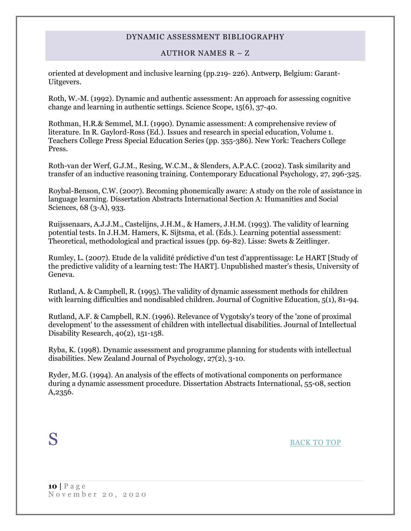## AUTHOR NAMES R – Z

oriented at development and inclusive learning (pp.219- 226). Antwerp, Belgium: Garant-Uitgevers.

Roth, W.-M. (1992). Dynamic and authentic assessment: An approach for assessing cognitive change and learning in authentic settings. Science Scope, 15(6), 37-40.

Rothman, H.R.& Semmel, M.I. (1990). Dynamic assessment: A comprehensive review of literature. In R. Gaylord-Ross (Ed.). Issues and research in special education, Volume 1. Teachers College Press Special Education Series (pp. 355-386). New York: Teachers College Press.

Roth-van der Werf, G.J.M., Resing, W.C.M., & Slenders, A.P.A.C. (2002). Task similarity and transfer of an inductive reasoning training. Contemporary Educational Psychology, 27, 296-325.

Roybal-Benson, C.W. (2007). Becoming phonemically aware: A study on the role of assistance in language learning. Dissertation Abstracts International Section A: Humanities and Social Sciences, 68 (3-A), 933.

Ruijssenaars, A.J.J.M., Castelijns, J.H.M., & Hamers, J.H.M. (1993). The validity of learning potential tests. In J.H.M. Hamers, K. Sijtsma, et al. (Eds.). Learning potential assessment: Theoretical, methodological and practical issues (pp. 69-82). Lisse: Swets & Zeitlinger.

Rumley, L. (2007). Etude de la validité prédictive d'un test d'apprentissage: Le HART [Study of the predictive validity of a learning test: The HART]. Unpublished master's thesis, University of Geneva.

Rutland, A. & Campbell, R. (1995). The validity of dynamic assessment methods for children with learning difficulties and nondisabled children. Journal of Cognitive Education, 5(1), 81-94.

Rutland, A.F. & Campbell, R.N. (1996). Relevance of Vygotsky's teory of the 'zone of proximal development' to the assessment of children with intellectual disabilities. Journal of Intellectual Disability Research, 40(2), 151-158.

Ryba, K. (1998). Dynamic assessment and programme planning for students with intellectual disabilities. New Zealand Journal of Psychology, 27(2), 3-10.

<span id="page-9-0"></span>Ryder, M.G. (1994). An analysis of the effects of motivational components on performance during a dynamic assessment procedure. Dissertation Abstracts International, 55-08, section A,2356.

S [BACK TO TOP](#page-0-1)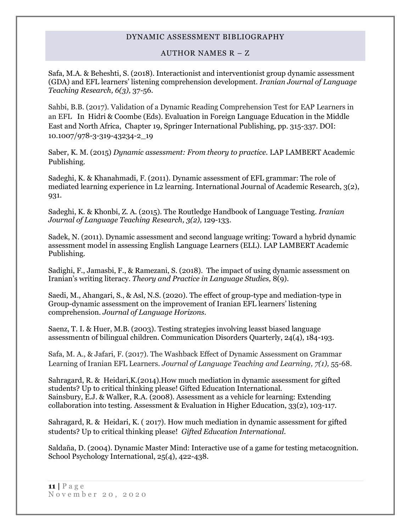#### AUTHOR NAMES R – Z

Safa, M.A. & Beheshti, S. (2018). Interactionist and interventionist group dynamic assessment (GDA) and EFL learners' listening comprehension development. *Iranian Journal of Language Teaching Research, 6(3),* 37-56.

Sahbi, B.B. (2017). Validation of a Dynamic Reading Comprehension Test for EAP Learners in an EFL In Hidri & Coombe (Eds). Evaluation in Foreign Language Education in the Middle East and North Africa, Chapter 19, Springer International Publishing, pp. 315-337. DOI: 10.1007/978-3-319-43234-2\_19

Saber, K. M. (2015) *Dynamic assessment: From theory to practice.* LAP LAMBERT Academic Publishing.

Sadeghi, K. & Khanahmadi, F. (2011). Dynamic assessment of EFL grammar: The role of mediated learning experience in L2 learning. International Journal of Academic Research, 3(2), 931.

Sadeghi, K. & Khonbi, Z. A. (2015). The Routledge Handbook of Language Testing. *Iranian Journal of Language Teaching Research, 3(2),* 129-133.

Sadek, N. (2011). Dynamic assessment and second language writing: Toward a hybrid dynamic assessment model in assessing English Language Learners (ELL). LAP LAMBERT Academic Publishing.

Sadighi, F., Jamasbi, F., & Ramezani, S. (2018). The impact of using dynamic assessment on Iranian's writing literacy. *Theory and Practice in Language Studies,* 8(9).

Saedi, M., Ahangari, S., & Asl, N.S. (2020). The effect of group-type and mediation-type in Group-dynamic assessment on the improvement of Iranian EFL learners' listening comprehension. *Journal of Language Horizons.*

Saenz, T. I. & Huer, M.B. (2003). Testing strategies involving leasst biased language assessmentn of bilingual children. Communication Disorders Quarterly, 24(4), 184-193.

Safa, M. A., & Jafari, F. (2017). The Washback Effect of Dynamic Assessment on Grammar Learning of Iranian EFL Learners. *Journal of Language Teaching and Learning, 7(1),* 55-68.

Sahragard, R. & Heidari,K.(2014).How much mediation in dynamic assessment for gifted students? Up to critical thinking please! Gifted Education International. Sainsbury, E.J. & Walker, R.A. (2008). Assessment as a vehicle for learning: Extending collaboration into testing. Assessment & Evaluation in Higher Education, 33(2), 103-117.

Sahragard, R. & Heidari, K. ( 2017). How much mediation in dynamic assessment for gifted students? Up to critical thinking please! *Gifted Education International.*

Saldaña, D. (2004). Dynamic Master Mind: Interactive use of a game for testing metacognition. School Psychology International, 25(4), 422-438.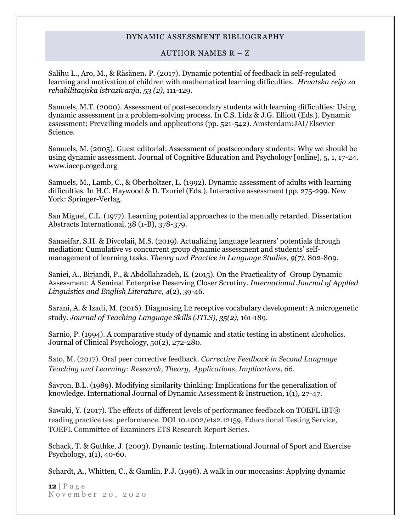#### AUTHOR NAMES R – Z

Salihu L., Aro, M., & Räsänen**.** P. (2017). Dynamic potential of feedback in self-regulated learning and motivation of children with mathematical learning difficulties. *Hrvatska reija za rehabilitacjska istrazivanja, 53 (2)*, 111-129.

Samuels, M.T. (2000). Assessment of post-secondary students with learning difficulties: Using dynamic assessment in a problem-solving process. In C.S. Lidz & J.G. Elliott (Eds.). Dynamic assessment: Prevailing models and applications (pp. 521-542). Amsterdam:JAI/Elsevier Science.

Samuels, M. (2005). Guest editorial: Assessment of postsecondary students: Why we should be using dynamic assessment. Journal of Cognitive Education and Psychology [online], 5, 1, 17-24. www.iacep.coged.org

Samuels, M., Lamb, C., & Oberholtzer, L. (1992). Dynamic assessment of adults with learning difficulties. In H.C. Haywood & D. Tzuriel (Eds.), Interactive assessment (pp. 275-299. New York: Springer-Verlag.

San Miguel, C.L. (1977). Learning potential approaches to the mentally retarded. Dissertation Abstracts International, 38 (1-B), 378-379.

Sanaeifar, S.H. & Divcolaii, M.S. (2019). Actualizing language learners' potentials through mediation: Cumulative vs concurrent group dynamic assessment and students' selfmanagement of learning tasks. *Theory and Practice in Language Studies, 9(7).* 802-809.

Saniei, A., Birjandi, P., & Abdollahzadeh, E. (2015). On the Practicality of Group Dynamic Assessment: A Seminal Enterprise Deserving Closer Scrutiny. *International Journal of Applied Linguistics and English Literature*, *4*(2), 39-46.

Sarani, A. & Izadi, M. (2016). Diagnosing L2 receptive vocabulary development: A microgenetic study. *Journal of Teaching Language Skills (JTLS), 35(2),* 161-189.

Sarnio, P. (1994). A comparative study of dynamic and static testing in abstinent alcoholics. Journal of Clinical Psychology, 50(2), 272-280.

Sato, M. (2017). Oral peer corrective feedback. *Corrective Feedback in Second Language Teaching and Learning: Research, Theory, Applications, Implications*, *66*.

Savron, B.L. (1989). Modifying similarity thinking: Implications for the generalization of knowledge. International Journal of Dynamic Assessment & Instruction, 1(1), 27-47.

Sawaki, Y. (2017). The effects of different levels of performance feedback on TOEFL iBT® reading practice test performance. DOI 10.1002/ets2.12159, Educational Testing Service, TOEFL Committee of Examiners ETS Research Report Series.

Schack, T. & Guthke, J. (2003). Dynamic testing. International Journal of Sport and Exercise Psychology, 1(1), 40-60.

Schardt, A., Whitten, C., & Gamlin, P.J. (1996). A walk in our moccasins: Applying dynamic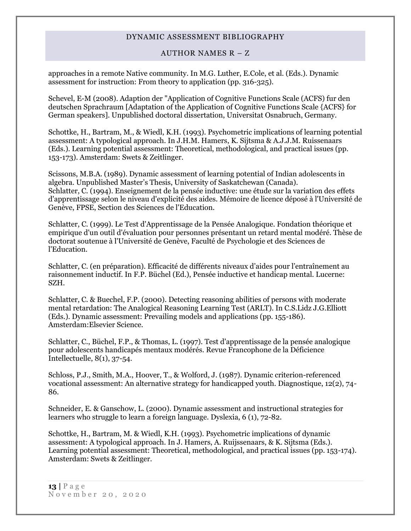#### AUTHOR NAMES R – Z

approaches in a remote Native community. In M.G. Luther, E.Cole, et al. (Eds.). Dynamic assessment for instruction: From theory to application (pp. 316-325).

Schevel, E-M (2008). Adaption der "Application of Cognitive Functions Scale (ACFS) fur den deutschen Sprachraum [Adaptation of the Application of Cognitive Functions Scale {ACFS} for German speakers]. Unpublished doctoral dissertation, Universitat Osnabruch, Germany.

Schottke, H., Bartram, M., & Wiedl, K.H. (1993). Psychometric implications of learning potential assessment: A typological approach. In J.H.M. Hamers, K. Sijtsma & A.J.J.M. Ruissenaars (Eds.). Learning potential assessment: Theoretical, methodological, and practical issues (pp. 153-173). Amsterdam: Swets & Zeitlinger.

Scissons, M.B.A. (1989). Dynamic assessment of learning potential of Indian adolescents in algebra. Unpublished Master's Thesis, University of Saskatchewan (Canada). Schlatter, C. (1994). Enseignement de la pensée inductive: une étude sur la variation des effets d'apprentissage selon le niveau d'explicité des aides. Mémoire de licence déposé à l'Université de Genève, FPSE, Section des Sciences de l'Education.

Schlatter, C. (1999). Le Test d'Apprentissage de la Pensée Analogique. Fondation théorique et empirique d'un outil d'évaluation pour personnes présentant un retard mental modéré. Thèse de doctorat soutenue à l'Université de Genève, Faculté de Psychologie et des Sciences de l'Education.

Schlatter, C. (en préparation). Efficacité de différents niveaux d'aides pour l'entraînement au raisonnement inductif. In F.P. Büchel (Ed.), Pensée inductive et handicap mental. Lucerne: SZH.

Schlatter, C. & Buechel, F.P. (2000). Detecting reasoning abilities of persons with moderate mental retardation: The Analogical Reasoning Learning Test (ARLT). In C.S.Lidz J.G.Elliott (Eds.). Dynamic assessment: Prevailing models and applications (pp. 155-186). Amsterdam:Elsevier Science.

Schlatter, C., Büchel, F.P., & Thomas, L. (1997). Test d'apprentissage de la pensée analogique pour adolescents handicapés mentaux modérés. Revue Francophone de la Déficience Intellectuelle, 8(1), 37-54.

Schloss, P.J., Smith, M.A., Hoover, T., & Wolford, J. (1987). Dynamic criterion-referenced vocational assessment: An alternative strategy for handicapped youth. Diagnostique, 12(2), 74- 86.

Schneider, E. & Ganschow, L. (2000). Dynamic assessment and instructional strategies for learners who struggle to learn a foreign language. Dyslexia, 6 (1), 72-82.

Schottke, H., Bartram, M. & Wiedl, K.H. (1993). Psychometric implications of dynamic assessment: A typological approach. In J. Hamers, A. Ruijssenaars, & K. Sijtsma (Eds.). Learning potential assessment: Theoretical, methodological, and practical issues (pp. 153-174). Amsterdam: Swets & Zeitlinger.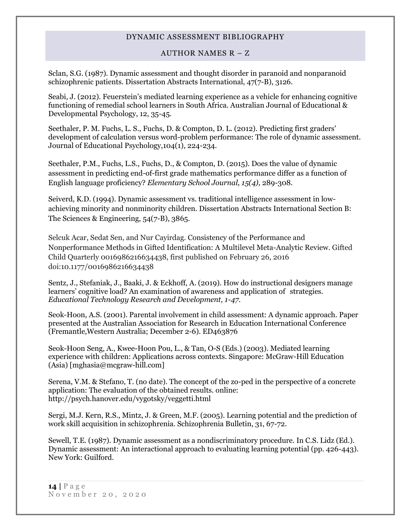## AUTHOR NAMES R – Z

Sclan, S.G. (1987). Dynamic assessment and thought disorder in paranoid and nonparanoid schizophrenic patients. Dissertation Abstracts International, 47(7-B), 3126.

Seabi, J. (2012). Feuerstein's mediated learning experience as a vehicle for enhancing cognitive functioning of remedial school learners in South Africa. Australian Journal of Educational & Developmental Psychology, 12, 35-45.

Seethaler, P. M. Fuchs, L. S., Fuchs, D. & Compton, D. L. (2012). Predicting first graders' development of calculation versus word-problem performance: The role of dynamic assessment. Journal of Educational Psychology,104(1), 224-234.

Seethaler, P.M., Fuchs, L.S., Fuchs, D., & Compton, D. (2015). Does the value of dynamic assessment in predicting end-of-first grade mathematics performance differ as a function of English language proficiency? *Elementary School Journal, 15(4),* 289-308.

Seiverd, K.D. (1994). Dynamic assessment vs. traditional intelligence assessment in lowachieving minority and nonminority children. Dissertation Abstracts International Section B: The Sciences & Engineering, 54(7-B), 3865.

Selcuk Acar, Sedat Sen, and Nur Cayirdag. Consistency of the Performance and Nonperformance Methods in Gifted Identification: A Multilevel Meta-Analytic Review. Gifted Child Quarterly 0016986216634438, first published on February 26, 2016 doi:10.1177/0016986216634438

Sentz, J., Stefaniak, J., Baaki, J. & Eckhoff, A. (2019). How do instructional designers manage learners' cognitive load? An examination of awareness and application of strategies. *Educational Technology Research and Development, 1-47*.

Seok-Hoon, A.S. (2001). Parental involvement in child assessment: A dynamic approach. Paper presented at the Australian Association for Research in Education International Conference (Fremantle,Western Australia; December 2-6). ED463876

Seok-Hoon Seng, A., Kwee-Hoon Pou, L., & Tan, O-S (Eds.) (2003). Mediated learning experience with children: Applications across contexts. Singapore: McGraw-Hill Education (Asia) [mghasia@mcgraw-hill.com]

Serena, V.M. & Stefano, T. (no date). The concept of the zo-ped in the perspective of a concrete application: The evaluation of the obtained results. online: http://psych.hanover.edu/vygotsky/veggetti.html

Sergi, M.J. Kern, R.S., Mintz, J. & Green, M.F. (2005). Learning potential and the prediction of work skill acquisition in schizophrenia. Schizophrenia Bulletin, 31, 67-72.

Sewell, T.E. (1987). Dynamic assessment as a nondiscriminatory procedure. In C.S. Lidz (Ed.). Dynamic assessment: An interactional approach to evaluating learning potential (pp. 426-443). New York: Guilford.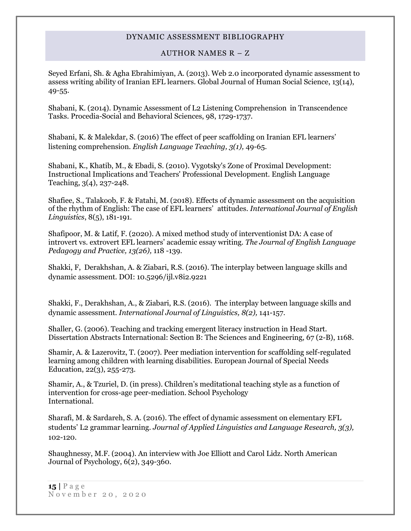# AUTHOR NAMES R – Z

Seyed Erfani, Sh. & Agha Ebrahimiyan, A. (2013). Web 2.0 incorporated dynamic assessment to assess writing ability of Iranian EFL learners. Global Journal of Human Social Science, 13(14), 49-55.

Shabani, K. (2014). Dynamic Assessment of L2 Listening Comprehension in Transcendence Tasks. Procedia-Social and Behavioral Sciences, 98, 1729-1737.

Shabani, K. & Malekdar, S. (2016) The effect of peer scaffolding on Iranian EFL learners' listening comprehension*. English Language Teaching, 3(1),* 49-65.

Shabani, K., Khatib, M., & Ebadi, S. (2010). Vygotsky's Zone of Proximal Development: Instructional Implications and Teachers' Professional Development. English Language Teaching, 3(4), 237-248.

Shafiee, S., Talakoob, F. & Fatahi, M. (2018). Effects of dynamic assessment on the acquisition of the rhythm of English: The case of EFL learners' attitudes. *International Journal of English Linguistics*, 8(5), 181-191.

Shafipoor, M. & Latif, F. (2020). A mixed method study of interventionist DA: A case of introvert vs. extrovert EFL learners' academic essay writing. *The Journal of English Language Pedagogy and Practice, 13(26),* 118 -139.

Shakki, F, Derakhshan, A. & Ziabari, R.S. (2016). The interplay between language skills and dynamic assessment. DOI: 10.5296/ijl.v8i2.9221

Shakki, F., Derakhshan, A., & Ziabari, R.S. (2016). The interplay between language skills and dynamic assessment. *International Journal of Linguistics, 8(2),* 141-157.

Shaller, G. (2006). Teaching and tracking emergent literacy instruction in Head Start. Dissertation Abstracts International: Section B: The Sciences and Engineering, 67 (2-B), 1168.

Shamir, A. & Lazerovitz, T. (2007). Peer mediation intervention for scaffolding self-regulated learning among children with learning disabilities. European Journal of Special Needs Education, 22(3), 255-273.

Shamir, A., & Tzuriel, D. (in press). Children's meditational teaching style as a function of intervention for cross-age peer-mediation. School Psychology International.

Sharafi, M. & Sardareh, S. A. (2016). The effect of dynamic assessment on elementary EFL students' L2 grammar learning. *Journal of Applied Linguistics and Language Research, 3(3),*  102-120.

Shaughnessy, M.F. (2004). An interview with Joe Elliott and Carol Lidz. North American Journal of Psychology, 6(2), 349-360.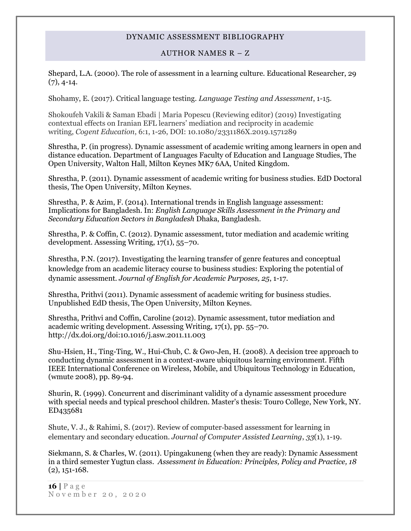#### AUTHOR NAMES R – Z

Shepard, L.A. (2000). The role of assessment in a learning culture. Educational Researcher, 29  $(7), 4-14.$ 

Shohamy, E. (2017). Critical language testing. *Language Testing and Assessment*, 1-15.

Shokoufeh Vakili & Saman Ebadi | Maria Popescu (Reviewing editor) (2019) Investigating contextual effects on Iranian EFL learners' mediation and reciprocity in academic writing, *Cogent Education*, 6:1, 1-26, DOI: 10.1080/2331186X.2019.1571289

Shrestha, P. (in progress). Dynamic assessment of academic writing among learners in open and distance education. Department of Languages Faculty of Education and Language Studies, The Open University, Walton Hall, Milton Keynes MK7 6AA, United Kingdom.

Shrestha, P. (2011). Dynamic assessment of academic writing for business studies. EdD Doctoral thesis, The Open University, Milton Keynes.

Shrestha, P. & Azim, F. (2014). International trends in English language assessment: Implications for Bangladesh. In: *English Language Skills Assessment in the Primary and Secondary Education Sectors in Bangladesh* Dhaka, Bangladesh.

Shrestha, P. & Coffin, C. (2012). Dynamic assessment, tutor mediation and academic writing development. Assessing Writing, 17(1), 55–70.

Shrestha, P.N. (2017). Investigating the learning transfer of genre features and conceptual knowledge from an academic literacy course to business studies: Exploring the potential of dynamic assessment. *Journal of English for Academic Purposes, 25*, 1-17.

Shrestha, Prithvi (2011). Dynamic assessment of academic writing for business studies. Unpublished EdD thesis, The Open University, Milton Keynes.

Shrestha, Prithvi and Coffin, Caroline (2012). Dynamic assessment, tutor mediation and academic writing development. Assessing Writing, 17(1), pp. 55–70. http://dx.doi.org/doi:10.1016/j.asw.2011.11.003

Shu-Hsien, H., Ting-Ting, W., Hui-Chub, C. & Gwo-Jen, H. (2008). A decision tree approach to conducting dynamic assessment in a context-aware ubiquitous learning environment. Fifth IEEE International Conference on Wireless, Mobile, and Ubiquitous Technology in Education, (wmute 2008), pp. 89-94.

Shurin, R. (1999). Concurrent and discriminant validity of a dynamic assessment procedure with special needs and typical preschool children. Master's thesis: Touro College, New York, NY. ED435681

Shute, V. J., & Rahimi, S. (2017). Review of computer‐based assessment for learning in elementary and secondary education. *Journal of Computer Assisted Learning*, *33*(1), 1-19.

Siekmann, S. & Charles, W. (2011). Upingakuneng (when they are ready): Dynamic Assessment in a third semester Yugtun class. *Assessment in Education: Principles, Policy and Practice, 18* (2), 151-168.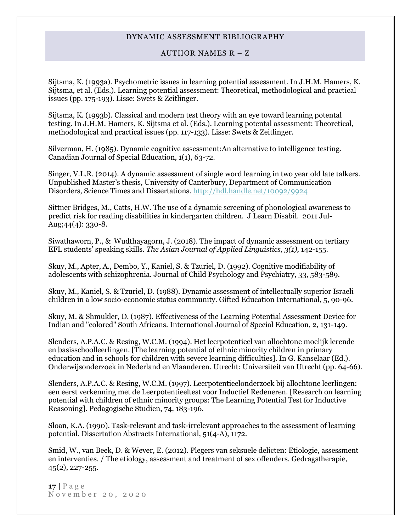#### AUTHOR NAMES R – Z

Sijtsma, K. (1993a). Psychometric issues in learning potential assessment. In J.H.M. Hamers, K. Sijtsma, et al. (Eds.). Learning potential assessment: Theoretical, methodological and practical issues (pp. 175-193). Lisse: Swets & Zeitlinger.

Sijtsma, K. (1993b). Classical and modern test theory with an eye toward learning potental testing. In J.H.M. Hamers, K. Sijtsma et al. (Eds.). Learning potental assessment: Theoretical, methodological and practical issues (pp. 117-133). Lisse: Swets & Zeitlinger.

Silverman, H. (1985). Dynamic cognitive assessment:An alternative to intelligence testing. Canadian Journal of Special Education, 1(1), 63-72.

Singer, V.L.R. (2014). A dynamic assessment of single word learning in two year old late talkers. Unpublished Master's thesis, University of Canterbury, Department of Communication Disorders, Science Times and Dissertations. <http://hdl.handle.net/10092/9924>

Sittner Bridges, M., Catts, H.W. The use of a dynamic screening of phonological awareness to predict risk for reading disabilities in kindergarten children. J Learn Disabil. 2011 Jul-Aug; $44(4)$ : 330-8.

Siwathaworn, P., & Wudthayagorn, J. (2018). The impact of dynamic assessment on tertiary EFL students' speaking skills. *The Asian Journal of Applied Linguistics, 3(1),* 142-155.

Skuy, M., Apter, A., Dembo, Y., Kaniel, S. & Tzuriel, D. (1992). Cognitive modifiability of adolescents with schizophrenia. Journal of Child Psychology and Psychiatry, 33, 583-589.

Skuy, M., Kaniel, S. & Tzuriel, D. (1988). Dynamic assessment of intellectually superior Israeli children in a low socio-economic status community. Gifted Education International, 5, 90-96.

Skuy, M. & Shmukler, D. (1987). Effectiveness of the Learning Potential Assessment Device for Indian and "colored" South Africans. International Journal of Special Education, 2, 131-149.

Slenders, A.P.A.C. & Resing, W.C.M. (1994). Het leerpotentieel van allochtone moelijk lerende en basisschoolleerlingen. [The learning potential of ethnic minority children in primary education and in schools for children with severe learning difficulties]. In G. Kanselaar (Ed.). Onderwijsonderzoek in Nederland en Vlaanderen. Utrecht: Universiteit van Utrecht (pp. 64-66).

Slenders, A.P.A.C. & Resing, W.C.M. (1997). Leerpotentieelonderzoek bij allochtone leerlingen: een eerst verkenning met de Leerpotentieeltest voor Inductief Redeneren. [Research on learning potential with children of ethnic minority groups: The Learning Potential Test for Inductive Reasoning]. Pedagogische Studien, 74, 183-196.

Sloan, K.A. (1990). Task-relevant and task-irrelevant approaches to the assessment of learning potential. Dissertation Abstracts International, 51(4-A), 1172.

Smid, W., van Beek, D. & Wever, E. (2012). Plegers van seksuele delicten: Etiologie, assessment en interventies. / The etiology, assessment and treatment of sex offenders. Gedragstherapie, 45(2), 227-255.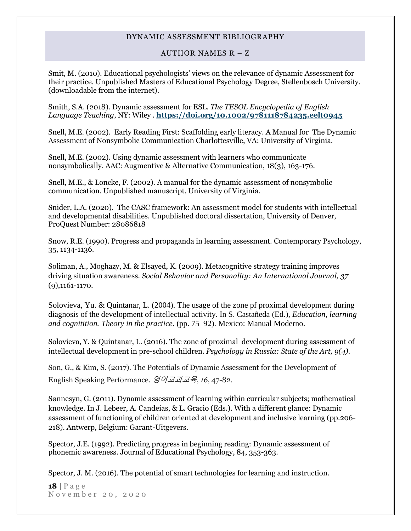## AUTHOR NAMES R – Z

Smit, M. (2010). Educational psychologists' views on the relevance of dynamic Assessment for their practice. Unpublished Masters of Educational Psychology Degree, Stellenbosch University. (downloadable from the internet).

Smith, S.A. (2018). Dynamic assessment for ESL. *The TESOL Encyclopedia of English Language Teaching*, NY: Wiley . **<https://doi.org/10.1002/9781118784235.eelt0945>**

Snell, M.E. (2002). Early Reading First: Scaffolding early literacy. A Manual for The Dynamic Assessment of Nonsymbolic Communication Charlottesville, VA: University of Virginia.

Snell, M.E. (2002). Using dynamic assessment with learners who communicate nonsymbolically. AAC: Augmentive & Alternative Communication, 18(3), 163-176.

Snell, M.E., & Loncke, F. (2002). A manual for the dynamic assessment of nonsymbolic communication. Unpublished manuscript, University of Virginia.

Snider, L.A. (2020). The CASC framework: An assessment model for students with intellectual and developmental disabilities. Unpublished doctoral dissertation, University of Denver, ProQuest Number: 28086818

Snow, R.E. (1990). Progress and propaganda in learning assessment. Contemporary Psychology, 35, 1134-1136.

Soliman, A., Moghazy, M. & Elsayed, K. (2009). Metacognitive strategy training improves driving situation awareness. *Social Behavior and Personality: An International Journal, 37* (9),1161-1170.

Solovieva, Yu. & Quintanar, L. (2004). The usage of the zone pf proximal development during diagnosis of the development of intellectual activity. In S. Castañeda (Ed.), *Education, learning and cognitition. Theory in the practice*. (pp. 75–92). Mexico: Manual Moderno.

Solovieva, Y. & Quintanar, L. (2016). The zone of proximal development during assessment of intellectual development in pre-school children. *Psychology in Russia: State of the Art, 9(4).*

Son, G., & Kim, S. (2017). The Potentials of Dynamic Assessment for the Development of English Speaking Performance. 영어교과교육, *16*, 47-82.

Sønnesyn, G. (2011). Dynamic assessment of learning within curricular subjects; mathematical knowledge. In J. Lebeer, A. Candeias, & L. Gracio (Eds.). With a different glance: Dynamic assessment of functioning of children oriented at development and inclusive learning (pp.206- 218). Antwerp, Belgium: Garant-Uitgevers.

Spector, J.E. (1992). Predicting progress in beginning reading: Dynamic assessment of phonemic awareness. Journal of Educational Psychology, 84, 353-363.

Spector, J. M. (2016). The potential of smart technologies for learning and instruction.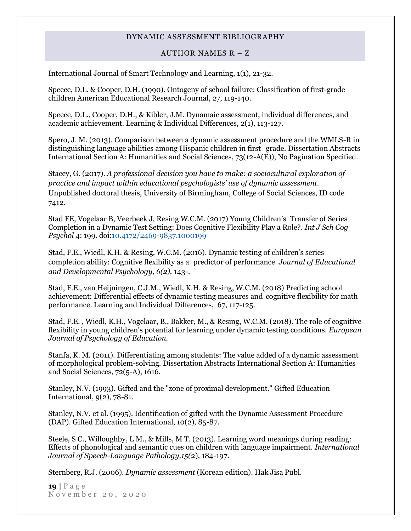#### AUTHOR NAMES R – Z

International Journal of Smart Technology and Learning, 1(1), 21-32.

Speece, D.L. & Cooper, D.H. (1990). Ontogeny of school failure: Classification of first-grade children American Educational Research Journal, 27, 119-140.

Speece, D.L., Cooper, D.H., & Kibler, J.M. Dynamaic assessment, individual differences, and academic achievement. Learning & Individual Differences, 2(1), 113-127.

Spero, J. M. (2013). Comparison between a dynamic assessment procedure and the WMLS-R in distinguishing language abilities among Hispanic children in first grade. Dissertation Abstracts International Section A: Humanities and Social Sciences, 73(12-A(E)), No Pagination Specified.

Stacey, G. (2017). *A professional decision you have to make: a sociocultural exploration of practice and impact within educational psychologists' use of dynamic assessment.* Unpublished doctoral thesis, University of Birmingham, College of Social Sciences, ID code 7412.

Stad FE, Vogelaar B, Veerbeek J, Resing W.C.M. (2017) Young Children's Transfer of Series Completion in a Dynamic Test Setting: Does Cognitive Flexibility Play a Role?. *Int J Sch Cog Psychol* 4: 199. doi:10.4172/2469-9837.1000199

Stad, F.E., Wiedl, K.H. & Resing, W.C.M. (2016). Dynamic testing of children's series completion ability: Cognitive flexibility as a predictor of performance. *Journal of Educational and Developmental Psychology, 6(2),* 143-.

Stad, F.E., van Heijningen, C.J.M., Wiedl, K.H. & Resing, W.C.M. (2018) Predicting school achievement: Differential effects of dynamic testing measures and cognitive flexibility for math performance. Learning and Individual Differences, 67, 117-125.

Stad, F.E. , Wiedl, K.H., Vogelaar, B., Bakker, M., & Resing, W.C.M. (2018). The role of cognitive flexibility in young children's potential for learning under dynamic testing conditions. *European Journal of Psychology of Education.*

Stanfa, K. M. (2011). Differentiating among students: The value added of a dynamic assessment of morphological problem-solving. Dissertation Abstracts International Section A: Humanities and Social Sciences, 72(5-A), 1616.

Stanley, N.V. (1993). Gifted and the "zone of proximal development." Gifted Education International, 9(2), 78-81.

Stanley, N.V. et al. (1995). Identification of gifted with the Dynamic Assessment Procedure (DAP). Gifted Education International, 10(2), 85-87.

Steele, S C., Willoughby, L M., & Mills, M T. (2013). Learning word meanings during reading: Effects of phonological and semantic cues on children with language impairment*. International Journal of Speech-Language Pathology,15(*2), 184-197.

Sternberg, R.J. (2006). *Dynamic assessment* (Korean edition). Hak Jisa Publ.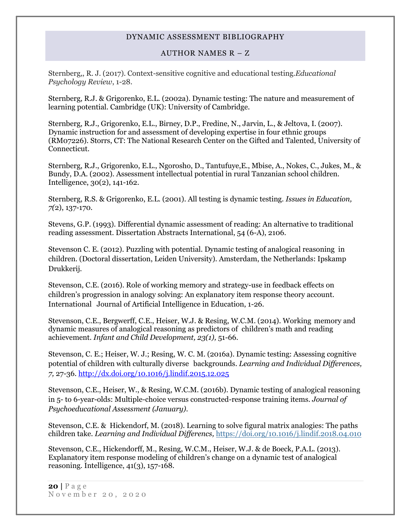#### AUTHOR NAMES R – Z

Sternberg,, R. J. (2017). Context-sensitive cognitive and educational testing.*Educational Psychology Review*, 1-28.

Sternberg, R.J. & Grigorenko, E.L. (2002a). Dynamic testing: The nature and measurement of learning potential. Cambridge (UK): University of Cambridge.

Sternberg, R.J., Grigorenko, E.L., Birney, D.P., Fredine, N., Jarvin, L., & Jeltova, I. (2007). Dynamic instruction for and assessment of developing expertise in four ethnic groups (RM07226). Storrs, CT: The National Research Center on the Gifted and Talented, University of Connecticut.

Sternberg, R.J., Grigorenko, E.L., Ngorosho, D., Tantufuye,E., Mbise, A., Nokes, C., Jukes, M., & Bundy, D.A. (2002). Assessment intellectual potential in rural Tanzanian school children. Intelligence, 30(2), 141-162.

Sternberg, R.S. & Grigorenko, E.L. (2001). All testing is dynamic testing. *Issues in Education, 7(*2), 137-170.

Stevens, G.P. (1993). Differential dynamic assessment of reading: An alternative to traditional reading assessment. Dissertation Abstracts International, 54 (6-A), 2106.

Stevenson C. E. (2012). Puzzling with potential. Dynamic testing of analogical reasoning in children. (Doctoral dissertation, Leiden University). Amsterdam, the Netherlands: Ipskamp Drukkerij.

Stevenson, C.E. (2016). Role of working memory and strategy-use in feedback effects on children's progression in analogy solving: An explanatory item response theory account. International Journal of Artificial Intelligence in Education, 1-26.

Stevenson, C.E., Bergwerff, C.E., Heiser, W.J. & Resing, W.C.M. (2014). Working memory and dynamic measures of analogical reasoning as predictors of children's math and reading achievement. *Infant and Child Development, 23(1),* 51-66.

[Stevenson, C. E.;](http://psycnet.apa.org/index.cfm?fa=search.searchResults&latSearchType=a&term=Stevenson,%20Claire%20E.) [Heiser, W. J.;](http://psycnet.apa.org/index.cfm?fa=search.searchResults&latSearchType=a&term=Heiser,%20Willem%20J.) [Resing, W. C. M.](http://psycnet.apa.org/index.cfm?fa=search.searchResults&latSearchType=a&term=Resing,%20Wilma%20C.%20M.) (2016a). Dynamic testing: Assessing cognitive potential of children with culturally diverse backgrounds. *Learning and Individual Differences, 7,* 27-36. [http://dx.doi.org/10.1016/j.lindif.2015.12.025](http://psycnet.apa.org/doi/10.1016/j.lindif.2015.12.025)

Stevenson, C.E., Heiser, W., & Resing, W.C.M. (2016b). Dynamic testing of analogical reasoning in 5- to 6-year-olds: Multiple-choice versus constructed-response training items. *Journal of Psychoeducational Assessment (January).*

Stevenson, C.E. & Hickendorf, M. (2018). Learning to solve figural matrix analogies: The paths children take. *Learning and Individual Differencs,* <https://doi.org/10.1016/j.lindif.2018.04.010>

Stevenson, C.E., Hickendorff, M., Resing, W.C.M., Heiser, W.J. & de Boeck, P.A.L. (2013). Explanatory item response modeling of children's change on a dynamic test of analogical reasoning. Intelligence, 41(3), 157-168.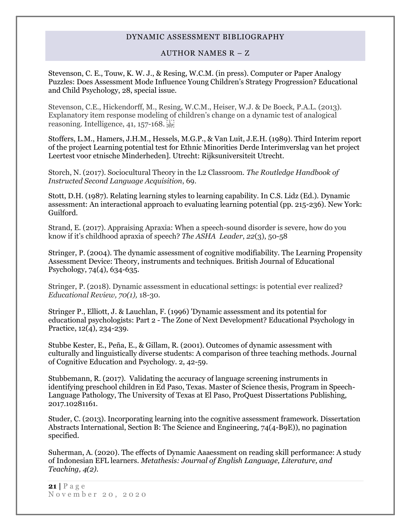#### AUTHOR NAMES R – Z

Stevenson, C. E., Touw, K. W. J., & Resing, W.C.M. (in press). Computer or Paper Analogy Puzzles: Does Assessment Mode Influence Young Children's Strategy Progression? Educational and Child Psychology, 28, special issue.

[Stevenson, C.E., Hickendorff, M., Resing, W.C.M., Heiser, W.J. & De Boeck, P.A.L. \(2013\).](https://www.researchgate.net/publication/281438230_Stevenson_C.E._Hickendorff_M._Resing_W.C.M._Heiser_W.J.__De_Boeck_P.A.L._%282013%29._Explanatory_item_response_modeling_of_childrens_change_on_a_dynamic_test_of_analogical_reasoning._Intelligence_41_157-168)  [Explanatory item response modeling of children's chan](https://www.researchgate.net/publication/281438230_Stevenson_C.E._Hickendorff_M._Resing_W.C.M._Heiser_W.J.__De_Boeck_P.A.L._%282013%29._Explanatory_item_response_modeling_of_childrens_change_on_a_dynamic_test_of_analogical_reasoning._Intelligence_41_157-168)ge on a dynamic test of analogical [reasoning. Intelligence, 41, 157-168.](https://www.researchgate.net/publication/281438230_Stevenson_C.E._Hickendorff_M._Resing_W.C.M._Heiser_W.J.__De_Boeck_P.A.L._%282013%29._Explanatory_item_response_modeling_of_childrens_change_on_a_dynamic_test_of_analogical_reasoning._Intelligence_41_157-168) 

Stoffers, L.M., Hamers, J.H.M., Hessels, M.G.P., & Van Luit, J.E.H. (1989). Third Interim report of the project Learning potential test for Ethnic Minorities Derde Interimverslag van het project Leertest voor etnische Minderheden]. Utrecht: Rijksuniversiteit Utrecht.

Storch, N. (2017). Sociocultural Theory in the L2 Classroom. *The Routledge Handbook of Instructed Second Language Acquisition*, 69.

Stott, D.H. (1987). Relating learning styles to learning capability. In C.S. Lidz (Ed.). Dynamic assessment: An interactional approach to evaluating learning potential (pp. 215-236). New York: Guilford.

Strand, E. (2017). Appraising Apraxia: When a speech-sound disorder is severe, how do you know if it's childhood apraxia of speech? *The ASHA Leader*, *22*(3), 50-58

Stringer, P. (2004). The dynamic assessment of cognitive modifiability. The Learning Propensity Assessment Device: Theory, instruments and techniques. British Journal of Educational Psychology, 74(4), 634-635.

Stringer, P. (2018). Dynamic assessment in educational settings: is potential ever realized? *Educational Review, 70(1),* 18-30.

Stringer P., Elliott, J. & Lauchlan, F. (1996) 'Dynamic assessment and its potential for educational psychologists: Part 2 - The Zone of Next Development? Educational Psychology in Practice, 12(4), 234-239.

Stubbe Kester, E., Peña, E., & Gillam, R. (2001). Outcomes of dynamic assessment with culturally and linguistically diverse students: A comparison of three teaching methods. Journal of Cognitive Education and Psychology. 2, 42-59.

Stubbemann, R. (2017). Validating the accuracy of language screening instruments in identifying preschool children in Ed Paso, Texas. Master of Science thesis, Program in Speech-Language Pathology, The University of Texas at El Paso, ProQuest Dissertations Publishing, 2017.10281161.

Studer, C. (2013). Incorporating learning into the cognitive assessment framework. Dissertation Abstracts International, Section B: The Science and Engineering, 74(4-B9E)), no pagination specified.

Suherman, A. (2020). The effects of Dynamic Aaaessment on reading skill performance: A study of Indonesian EFL learners. *Metathesis: Journal of English Language, Literature, and Teaching, 4(2).*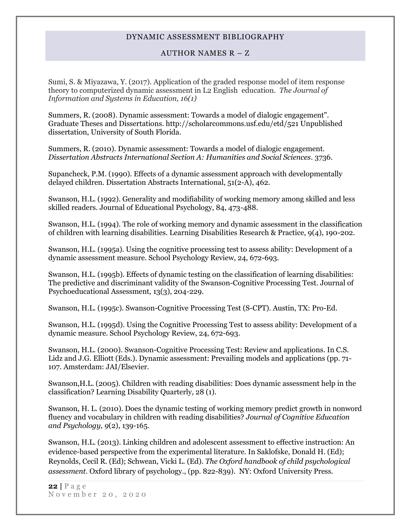#### AUTHOR NAMES R – Z

Sumi, S. & Miyazawa, Y. (2017). Application of the graded response model of item response theory to computerized dynamic assessment in L2 English education. *The Journal of Information and Systems in Education, 16(1)*

Summers, R. (2008). Dynamic assessment: Towards a model of dialogic engagement". Graduate Theses and Dissertations. http://scholarcommons.usf.edu/etd/521 Unpublished dissertation, University of South Florida.

Summers, R. (2010). Dynamic assessment: Towards a model of dialogic engagement. *Dissertation Abstracts International Section A: Humanities and Social Sciences*. 3736.

Supancheck, P.M. (1990). Effects of a dynamic assessment approach with developmentally delayed children. Dissertation Abstracts International, 51(2-A), 462.

Swanson, H.L. (1992). Generality and modifiability of working memory among skilled and less skilled readers. Journal of Educational Psychology, 84, 473-488.

Swanson, H.L. (1994). The role of working memory and dynamic assessment in the classification of children with learning disabilities. Learning Disabilities Research & Practice, 9(4), 190-202.

Swanson, H.L. (1995a). Using the cognitive processing test to assess ability: Development of a dynamic assessment measure. School Psychology Review, 24, 672-693.

Swanson, H.L. (1995b). Effects of dynamic testing on the classification of learning disabilities: The predictive and discriminant validity of the Swanson-Cognitive Processing Test. Journal of Psychoeducational Assessment, 13(3), 204-229.

Swanson, H.L. (1995c). Swanson-Cognitive Processing Test (S-CPT). Austin, TX: Pro-Ed.

Swanson, H.L. (1995d). Using the Cognitive Processing Test to assess ability: Development of a dynamic measure. School Psychology Review, 24, 672-693.

Swanson, H.L. (2000). Swanson-Cognitive Processing Test: Review and applications. In C.S. Lidz and J.G. Elliott (Eds.). Dynamic assessment: Prevailing models and applications (pp. 71- 107. Amsterdam: JAI/Elsevier.

Swanson,H.L. (2005). Children with reading disabilities: Does dynamic assessment help in the classification? Learning Disability Quarterly, 28 (1).

Swanson, H. L. (2010). Does the dynamic testing of working memory predict growth in nonword fluency and vocabulary in children with reading disabilities? *Journal of Cognitive Education and Psychology, 9*(2), 139-165.

Swanson, H.L. (2013). Linking children and adolescent assessment to effective instruction: An evidence-based perspective from the experimental literature. In Saklofske, Donald H. (Ed); Reynolds, Cecil R. (Ed); Schwean, Vicki L. (Ed). *The Oxford handbook of child psychological assessment*. Oxford library of psychology., (pp. 822-839). NY: Oxford University Press.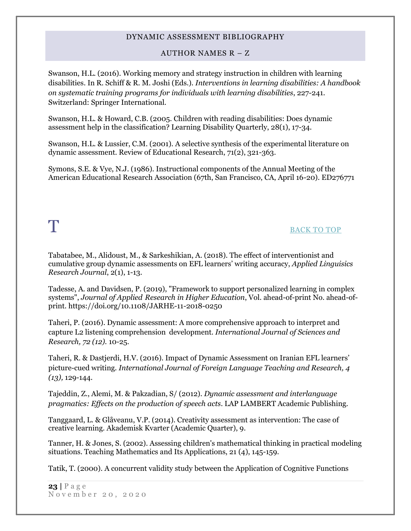# AUTHOR NAMES R – Z

Swanson, H.L. (2016). Working memory and strategy instruction in children with learning disabilities. In R. Schiff & R. M. Joshi (Eds.). *Interventions in learning disabilities: A handbook on systematic training programs for individuals with learning disabilities*, 227-241. Switzerland: Springer International.

Swanson, H.L. & Howard, C.B. (2005. Children with reading disabilities: Does dynamic assessment help in the classification? Learning Disability Quarterly, 28(1), 17-34.

Swanson, H.L. & Lussier, C.M. (2001). A selective synthesis of the experimental literature on dynamic assessment. Review of Educational Research, 71(2), 321-363.

<span id="page-22-0"></span>Symons, S.E. & Vye, N.J. (1986). Instructional components of the Annual Meeting of the American Educational Research Association (67th, San Francisco, CA, April 16-20). ED276771

# T [BACK TO TOP](#page-0-1)

Tabatabee, M., Alidoust, M., & Sarkeshikian, A. (2018). The effect of interventionist and cumulative group dynamic assessments on EFL learners' writing accuracy, *Applied Linguisics Research Journal*, 2(1), 1-13.

[Tadesse, A.](https://www.emerald.com/insight/search?q=Aklilu%20Tilahun%20Tadesse) and [Davidsen, P.](https://www.emerald.com/insight/search?q=P%C3%A5l%20Ingebrigt%20Davidsen) (2019), "Framework to support personalized learning in complex systems", *[Journal of Applied Research in Higher Education](https://www.emerald.com/insight/publication/issn/2050-7003)*, Vol. ahead-of-print No. ahead-ofprint. <https://doi.org/10.1108/JARHE-11-2018-0250>

Taheri, P. (2016). Dynamic assessment: A more comprehensive approach to interpret and capture L2 listening comprehension development. *International Journal of Sciences and Research, 72 (12).* 10-25.

Taheri, R. & Dastjerdi, H.V. (2016). Impact of Dynamic Assessment on Iranian EFL learners' picture-cued writing. *International Journal of Foreign Language Teaching and Research, 4 (13),* 129-144.

Tajeddin, Z., Alemi, M. & Pakzadian, S/ (2012). *Dynamic assessment and interlanguage pragmatics: Effects on the production of speech acts*. LAP LAMBERT Academic Publishing.

Tanggaard, L. & Glåveanu, V.P. (2014). Creativity assessment as intervention: The case of creative learning. Akademisk Kvarter (Academic Quarter), 9.

Tanner, H. & Jones, S. (2002). Assessing children's mathematical thinking in practical modeling situations. Teaching Mathematics and Its Applications, 21 (4), 145-159.

Tatik, T. (2000). A concurrent validity study between the Application of Cognitive Functions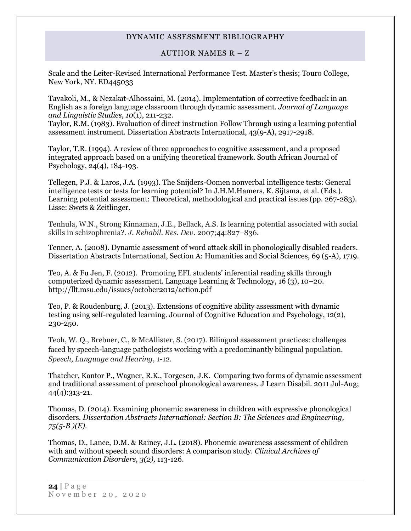#### AUTHOR NAMES R – Z

Scale and the Leiter-Revised International Performance Test. Master's thesis; Touro College, New York, NY. ED445033

Tavakoli, M., & Nezakat-Alhossaini, M. (2014). Implementation of corrective feedback in an English as a foreign language classroom through dynamic assessment. *Journal of Language and Linguistic Studies*, *10*(1), 211-232.

Taylor, R.M. (1983). Evaluation of direct instruction Follow Through using a learning potential assessment instrument. Dissertation Abstracts International, 43(9-A), 2917-2918.

Taylor, T.R. (1994). A review of three approaches to cognitive assessment, and a proposed integrated approach based on a unifying theoretical framework. South African Journal of Psychology, 24(4), 184-193.

Tellegen, P.J. & Laros, J.A. (1993). The Snijders-Oomen nonverbal intelligence tests: General intelligence tests or tests for learning potential? In J.H.M.Hamers, K. Sijtsma, et al. (Eds.). Learning potential assessment: Theoretical, methodological and practical issues (pp. 267-283). Lisse: Swets & Zeitlinger.

Tenhula, W.N., Strong Kinnaman, J.E., Bellack, A.S. Is learning potential associated with social skills in schizophrenia?. *J. Rehabil. Res. Dev.* 2007;44:827–836.

Tenner, A. (2008). Dynamic assessment of word attack skill in phonologically disabled readers. Dissertation Abstracts International, Section A: Humanities and Social Sciences, 69 (5-A), 1719.

Teo, A. & Fu Jen, F. (2012). Promoting EFL students' inferential reading skills through computerized dynamic assessment. Language Learning & Technology, 16 (3), 10–20. http://llt.msu.edu/issues/october2012/action.pdf

Teo, P. & Roudenburg, J. (2013). Extensions of cognitive ability assessment with dynamic testing using self-regulated learning. Journal of Cognitive Education and Psychology, 12(2), 230-250.

Teoh, W. Q., Brebner, C., & McAllister, S. (2017). Bilingual assessment practices: challenges faced by speech-language pathologists working with a predominantly bilingual population. *Speech, Language and Hearing*, 1-12.

Thatcher, Kantor P., Wagner, R.K., Torgesen, J.K. Comparing two forms of dynamic assessment and traditional assessment of preschool phonological awareness. J Learn Disabil. 2011 Jul-Aug; 44(4):313-21.

Thomas, D. (2014). Examining phonemic awareness in children with expressive phonological disorders*. Dissertation Abstracts International: Section B: The Sciences and Engineering, 75(5-B )(E).*

Thomas, D., Lance, D.M. & Rainey, J.L. (2018). Phonemic awareness assessment of children with and without speech sound disorders: A comparison study. *Clinical Archives of Communication Disorders, 3(2),* 113-126.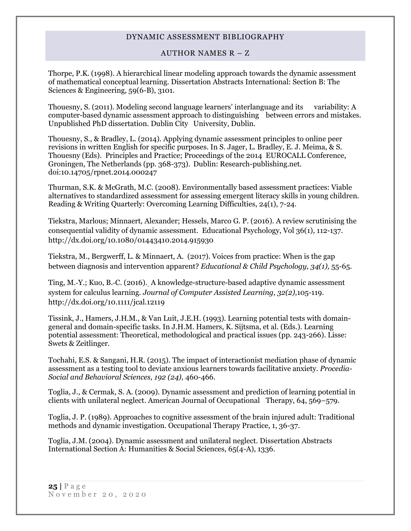## AUTHOR NAMES R – Z

Thorpe, P.K. (1998). A hierarchical linear modeling approach towards the dynamic assessment of mathematical conceptual learning. Dissertation Abstracts International: Section B: The Sciences & Engineering, 59(6-B), 3101.

Thouesny, S. (2011). Modeling second language learners' interlanguage and its variability: A computer-based dynamic assessment approach to distinguishing between errors and mistakes. Unpublished PhD dissertation. Dublin City University, Dublin.

Thouesny, S., & Bradley, L. (2014). Applying dynamic assessment principles to online peer revisions in written English for specific purposes. In S. Jager, L. Bradley, E. J. Meima, & S. Thouesny (Eds). Principles and Practice; Proceedings of the 2014 EUROCALL Conference, Groningen, The Netherlands (pp. 368-373). Dublin: Research-publishing.net. doi:10.14705/rpnet.2014.000247

Thurman, S.K. & McGrath, M.C. (2008). Environmentally based assessment practices: Viable alternatives to standardized assessment for assessing emergent literacy skills in young children. Reading & Writing Quarterly: Overcoming Learning Difficulties, 24(1), 7-24.

[Tiekstra, Marlous;](http://psycnet.apa.org/index.cfm?fa=search.searchResults&latSearchType=a&term=Tiekstra,%20Marlous) [Minnaert, Alexander;](http://psycnet.apa.org/index.cfm?fa=search.searchResults&latSearchType=a&term=Minnaert,%20Alexander) Hessels, [Marco G. P.](http://psycnet.apa.org/index.cfm?fa=search.searchResults&latSearchType=a&term=Hessels,%20Marco%20G.%20P.) (2016). A review scrutinising the consequential validity of dynamic assessment. Educational Psychology, Vol 36(1), 112-137. [http://dx.doi.org/10.1080/01443410.2014.915930](http://psycnet.apa.org/doi/10.1080/01443410.2014.915930)

Tiekstra, M., Bergwerff, L. & Minnaert, A. (2017). Voices from practice: When is the gap between diagnosis and intervention apparent? *Educational & Child Psychology, 34(1),* 55-65.

[Ting, M.](http://psycnet.apa.org/index.cfm?fa=search.searchResults&latSearchType=a&term=Ting,%20M.%E2%80%90Y.)‐Y.; [Kuo, B.](http://psycnet.apa.org/index.cfm?fa=search.searchResults&latSearchType=a&term=Kuo,%20B.%E2%80%90C.)‐C. (2016). A knowledge-structure-based adaptive dynamic assessment system for calculus learning. *Journal of Computer Assisted Learning, 32(2),*105-119. http://dx.doi.org/10.1111/jcal.12119

Tissink, J., Hamers, J.H.M., & Van Luit, J.E.H. (1993). Learning potential tests with domaingeneral and domain-specific tasks. In J.H.M. Hamers, K. Sijtsma, et al. (Eds.). Learning potential assessment: Theoretical, methodological and practical issues (pp. 243-266). Lisse: Swets & Zeitlinger.

Tochahi, E.S. & Sangani, H.R. (2015). The impact of interactionist mediation phase of dynamic assessment as a testing tool to deviate anxious learners towards facilitative anxiety*. Procedia-Social and Behavioral Sciences, 192 (24),* 460-466.

Toglia, J., & Cermak, S. A. (2009). Dynamic assessment and prediction of learning potential in clients with unilateral neglect. American Journal of Occupational Therapy, 64, 569–579.

Toglia, J. P. (1989). Approaches to cognitive assessment of the brain injured adult: Traditional methods and dynamic investigation. Occupational Therapy Practice, 1, 36-37.

Toglia, J.M. (2004). Dynamic assessment and unilateral neglect. Dissertation Abstracts International Section A: Humanities & Social Sciences, 65(4-A), 1336.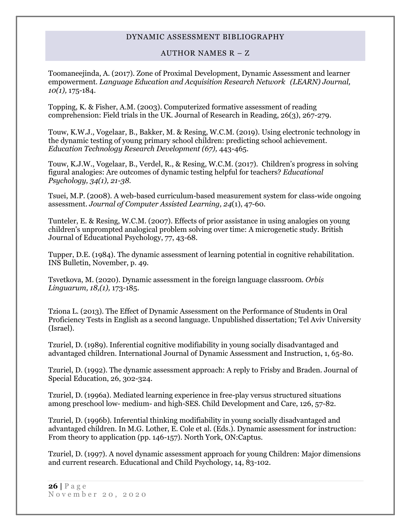#### AUTHOR NAMES R – Z

Toomaneejinda, A. (2017). Zone of Proximal Development, Dynamic Assessment and learner empowerment. *Language Education and Acquisition Research Network (LEARN) Journal, 10(1),* 175-184.

Topping, K. & Fisher, A.M. (2003). Computerized formative assessment of reading comprehension: Field trials in the UK. Journal of Research in Reading, 26(3), 267-279.

Touw, K.W.J., Vogelaar, B., Bakker, M. & Resing, W.C.M. (2019). Using electronic technology in the dynamic testing of young primary school children: predicting school achievement. *Education Technology Research Development (67),* 443-465.

Touw, K.J.W., Vogelaar, B., Verdel, R., & Resing, W.C.M. (2017). Children's progress in solving figural analogies: Are outcomes of dynamic testing helpful for teachers? *Educational Psychology, 34(1), 21-38.*

Tsuei, M.P. (2008). A web-based curriculum-based measurement system for class-wide ongoing assessment. *Journal of Computer Assisted Learning, 24*(1), 47-60.

Tunteler, E. & Resing, W.C.M. (2007). Effects of prior assistance in using analogies on young children's unprompted analogical problem solving over time: A microgenetic study. British Journal of Educational Psychology, 77, 43-68.

Tupper, D.E. (1984). The dynamic assessment of learning potential in cognitive rehabilitation. INS Bulletin, November, p. 49.

Tsvetkova, M. (2020). Dynamic assessment in the foreign language classroom. *Orbis Linguarum, 18,(1),* 173-185.

Tziona L. (2013). The Effect of Dynamic Assessment on the Performance of Students in Oral Proficiency Tests in English as a second language. Unpublished dissertation; Tel Aviv University (Israel).

Tzuriel, D. (1989). Inferential cognitive modifiability in young socially disadvantaged and advantaged children. International Journal of Dynamic Assessment and Instruction, 1, 65-80.

Tzuriel, D. (1992). The dynamic assessment approach: A reply to Frisby and Braden. Journal of Special Education, 26, 302-324.

Tzuriel, D. (1996a). Mediated learning experience in free-play versus structured situations among preschool low- medium- and high-SES. Child Development and Care, 126, 57-82.

Tzuriel, D. (1996b). Inferential thinking modifiability in young socially disadvantaged and advantaged children. In M.G. Lother, E. Cole et al. (Eds.). Dynamic assessment for instruction: From theory to application (pp. 146-157). North York, ON:Captus.

Tzuriel, D. (1997). A novel dynamic assessment approach for young Children: Major dimensions and current research. Educational and Child Psychology, 14, 83-102.

**26 |** P a g e November 20, 2020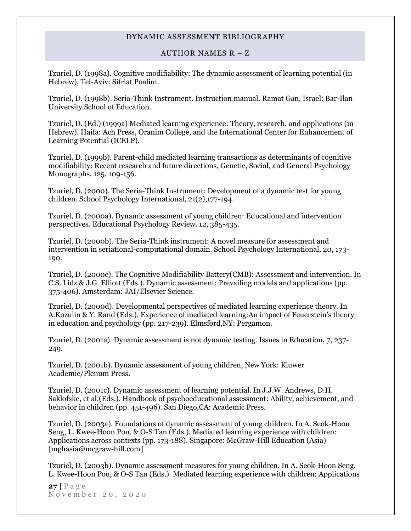#### AUTHOR NAMES R – Z

Tzuriel, D. (1998a). Cognitive modifiability: The dynamic assessment of learning potential (in Hebrew), Tel-Aviv: Sifriat Poalim.

Tzuriel, D. (1998b). Seria-Think Instrument. Instruction manual. Ramat Gan, Israel: Bar-Ilan University School of Education.

Tzuriel, D. (Ed.) (1999a) Mediated learning experience: Theory, research, and applications (in Hebrew). Haifa: Ach Press, Oranim College, and the International Center for Enhancement of Learning Potential (ICELP).

Tzuriel, D. (1999b). Parent-child mediated learning transactions as determinants of cognitive modifiability: Recent research and future directions, Genetic, Social, and General Psychology Monographs, 125, 109-156.

Tzuriel, D. (2000). The Seria-Think Instrument: Development of a dynamic test for young children. School Psychology International, 21(2),177-194.

Tzuriel, D. (2000a). Dynamic assessment of young children: Educational and intervention perspectives. Educational Psychology Review. 12, 385-435.

Tzuriel, D. (2000b). The Seria-Think instrument: A novel measure for assessment and intervention in seriational-computational domain. School Psychology International, 20, 173- 190.

Tzuriel, D. (2000c). The Cognitive Modifiability Battery(CMB): Assessment and intervention. In C.S. Lidz & J.G. Elliott (Eds.). Dynamic assessment: Prevailing models and applications (pp. 375-406). Amsterdam: JAI/Elsevier Science.

Tzuriel, D. (2000d). Developmental perspectives of mediated learning experience theory. In A.Kozulin & Y. Rand (Eds.). Experience of mediated learning:An impact of Feuerstein's theory in education and psychology (pp. 217-239). Elmsford,NY: Pergamon.

Tzuriel, D. (2001a). Dynamic assessment is not dynamic testing. Issues in Education, 7, 237- 249.

Tzuriel, D. (2001b). Dynamic assessment of young children, New York: Kluwer Academic/Plenum Press.

Tzuriel, D. (2001c). Dynamic assessment of learning potential. In J.J.W. Andrews, D.H. Saklofske, et al.(Eds.). Handbook of psychoeducational assessment: Ability, achievement, and behavior in children (pp. 451-496). San Diego,CA: Academic Press.

Tzuriel, D. (2003a). Foundations of dynamic assessment of young children. In A. Seok-Hoon Seng, L. Kwee-Hoon Pou, & O-S Tan (Eds.). Mediated learning experience with children: Applications across contexts (pp. 173-188). Singapore: McGraw-Hill Education (Asia) [mghasia@mcgraw-hill.com]

Tzuriel, D. (2003b). Dynamic assessment measures for young children. In A. Seok-Hoon Seng, L. Kwee-Hoon Pou, & O-S Tan (Eds.). Mediated learning experience with children: Applications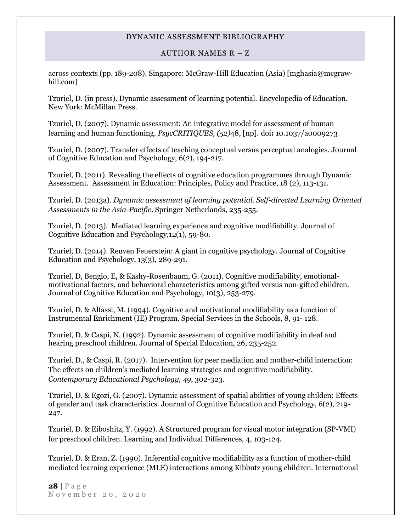## AUTHOR NAMES R – Z

across contexts (pp. 189-208). Singapore: McGraw-Hill Education (Asia) [mghasia@mcgrawhill.com]

Tzuriel, D. (in press). Dynamic assessment of learning potential. Encyclopedia of Education. New York: McMillan Press.

Tzuriel, D. (2007). Dynamic assessment: An integrative model for assessment of human learning and human functioning. *PsycCRITIQUES, (52)*48, [np]*.* doi**:** 10.1037/a0009273

Tzuriel, D. (2007). Transfer effects of teaching conceptual versus perceptual analogies. Journal of Cognitive Education and Psychology, 6(2), 194-217.

Tzuriel, D. (2011). Revealing the effects of cognitive education programmes through Dynamic Assessment. Assessment in Education: Principles, Policy and Practice, 18 (2), 113-131.

Tzuriel, D. (2013a). *Dynamic assessment of learning potential. Self-directed Learning Oriented Assessments in the Asia-Pacific*. Springer Netherlands, 235-255.

Tzuriel, D. (2013). Mediated learning experience and cognitive modifiability. Journal of Cognitive Education and Psychology,12(1), 59-80.

Tzuriel, D. (2014). Reuven Feuerstein: A giant in cognitive psychology. Journal of Cognitive Education and Psychology, 13(3), 289-291.

Tzuriel, D, Bengio, E, & Kashy-Rosenbaum, G. (2011). Cognitive modifiability, emotionalmotivational factors, and behavioral characteristics among gifted versus non-gifted children. Journal of Cognitive Education and Psychology, 10(3), 253-279.

Tzuriel, D. & Alfassi, M. (1994). Cognitive and motivational modifiability as a function of Instrumental Enrichment (IE) Program. Special Services in the Schools, 8, 91- 128.

Tzuriel, D. & Caspi, N. (1992). Dynamic assessment of cognitive modifiability in deaf and hearing preschool children. Journal of Special Education, 26, 235-252.

Tzuriel, D., & Caspi, R. (2017). Intervention for peer mediation and mother-child interaction: The effects on children's mediated learning strategies and cognitive modifiability. *Contemporary Educational Psychology, 49*, 302-323.

Tzuriel, D. & Egozi, G. (2007). Dynamic assessment of spatial abilities of young childen: Effects of gender and task characteristics. Journal of Cognitive Education and Psychology, 6(2), 219- 247.

Tzuriel, D. & Eiboshitz, Y. (1992). A Structured program for visual motor integration (SP-VMI) for preschool children. Learning and Individual Differences, 4, 103-124.

Tzuriel, D. & Eran, Z. (1990). Inferential cognitive modifiability as a function of mother-child mediated learning experience (MLE) interactions among Kibbutz young children. International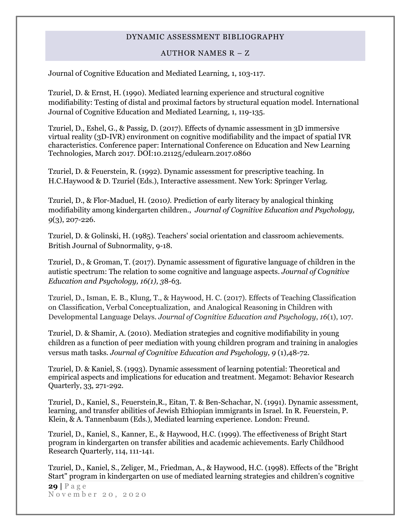#### AUTHOR NAMES R – Z

Journal of Cognitive Education and Mediated Learning, 1, 103-117.

Tzuriel, D. & Ernst, H. (1990). Mediated learning experience and structural cognitive modifiability: Testing of distal and proximal factors by structural equation model. International Journal of Cognitive Education and Mediated Learning, 1, 119-135.

Tzuriel, D., Eshel, G., & Passig, D. (2017). Effects of dynamic assessment in 3D immersive virtual reality (3D-IVR) environment on cognitive modifiability and the impact of spatial IVR characteristics. Conference paper: International Conference on Education and New Learning Technologies, March 2017. DOI:10.21125/edulearn.2017.0860

Tzuriel, D. & Feuerstein, R. (1992). Dynamic assessment for prescriptive teaching. In H.C.Haywood & D. Tzuriel (Eds.), Interactive assessment. New York: Springer Verlag.

Tzuriel, D., & Flor-Maduel, H. (2010*).* Prediction of early literacy by analogical thinking modifiability among kindergarten children., *Journal of Cognitive Education and Psychology, 9*(3), 207-226.

Tzuriel, D. & Golinski, H. (1985). Teachers' social orientation and classroom achievements. British Journal of Subnormality, 9-18.

Tzuriel, D., & Groman, T. (2017). Dynamic assessment of figurative language of children in the autistic spectrum: The relation to some cognitive and language aspects. *Journal of Cognitive Education and Psychology, 16(1), 3*8-63.

Tzuriel, D., Isman, E. B., Klung, T., & Haywood, H. C. (2017). Effects of Teaching Classification on Classification, Verbal Conceptualization, and Analogical Reasoning in Children with Developmental Language Delays. *Journal of Cognitive Education and Psychology*, *16*(1), 107.

Tzuriel, D. & Shamir, A. (2010). Mediation strategies and cognitive modifiability in young children as a function of peer mediation with young children program and training in analogies versus math tasks. *Journal of Cognitive Education and Psychology, 9* (1),48-72.

Tzuriel, D. & Kaniel, S. (1993). Dynamic assessment of learning potential: Theoretical and empirical aspects and implications for education and treatment. Megamot: Behavior Research Quarterly, 33, 271-292.

Tzuriel, D., Kaniel, S., Feuerstein,R., Eitan, T. & Ben-Schachar, N. (1991). Dynamic assessment, learning, and transfer abilities of Jewish Ethiopian immigrants in Israel. In R. Feuerstein, P. Klein, & A. Tannenbaum (Eds.), Mediated learning experience. London: Freund.

Tzuriel, D., Kaniel, S., Kanner, E., & Haywood, H.C. (1999). The effectiveness of Bright Start program in kindergarten on transfer abilities and academic achievements. Early Childhood Research Quarterly, 114, 111-141.

**29 |** P a g e N o v e m b e r 2 0 , 2 0 2 0 Tzuriel, D., Kaniel, S., Zeliger, M., Friedman, A., & Haywood, H.C. (1998). Effects of the "Bright Start" program in kindergarten on use of mediated learning strategies and children's cognitive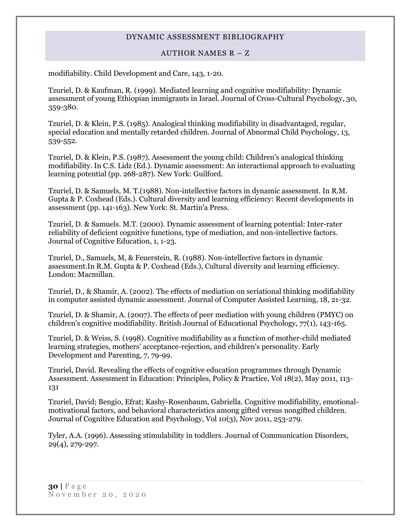## AUTHOR NAMES R – Z

<span id="page-29-0"></span>modifiability. Child Development and Care, 143, 1-20.

Tzuriel, D. & Kaufman, R. (1999). Mediated learning and cognitive modifiability: Dynamic assessment of young Ethiopian immigrants in Israel. Journal of Cross-Cultural Psychology, 30, 359-380.

Tzuriel, D. & Klein, P.S. (1985). Analogical thinking modifiability in disadvantaged, regular, special education and mentally retarded children. Journal of Abnormal Child Psychology, 13, 539-552.

Tzuriel, D. & Klein, P.S. (1987). Assessment the young child: Children's analogical thinking modifiability. In C.S. Lidz (Ed.). Dynamic assessment: An interactional approach to evaluating learning potential (pp. 268-287). New York: Guilford.

Tzuriel, D. & Samuels, M. T.(1988). Non-intellective factors in dynamic assessment. In R.M. Gupta & P. Coxhead (Eds.). Cultural diversity and learning efficiency: Recent developments in assessment (pp. 141-163). New York: St. Martin'a Press.

Tzuriel, D. & Samuels. M.T. (2000). Dynamic assessment of learning potential: Inter-rater reliability of deficient cognitive functions, type of mediation, and non-intellective factors. Journal of Cognitive Education, 1, 1-23.

Tzuriel, D., Samuels, M, & Feuerstein, R. (1988). Non-intellective factors in dynamic assessment.In R.M. Gupta & P. Coxhead (Eds.), Cultural diversity and learning efficiency. London: Macmillan.

Tzuriel, D., & Shamir, A. (2002). The effects of mediation on seriational thinking modifiability in computer assisted dynamic assessment. Journal of Computer Assisted Learning, 18, 21-32.

Tzuriel, D. & Shamir, A. (2007). The effects of peer mediation with young children (PMYC) on children's cognitive modifiability. British Journal of Educational Psychology, 77(1), 143-165.

Tzuriel, D. & Weiss, S. (1998). Cognitive modifiability as a function of mother-child mediated learning strategies, mothers' acceptance-rejection, and children's personality. Early Development and Parenting, 7, 79-99.

Tzuriel, David. Revealing the effects of cognitive education programmes through Dynamic Assessment. Assessment in Education: Principles, Policy & Practice, Vol 18(2), May 2011, 113- 131

Tzuriel, David; Bengio, Efrat; Kashy-Rosenbaum, Gabriella. Cognitive modifiability, emotionalmotivational factors, and behavioral characteristics among gifted versus nongifted children. Journal of Cognitive Education and Psychology, Vol 10(3), Nov 2011, 253-279.

Tyler, A.A. (1996). Assessing stimulability in toddlers. Journal of Communication Disorders, 29(4), 279-297.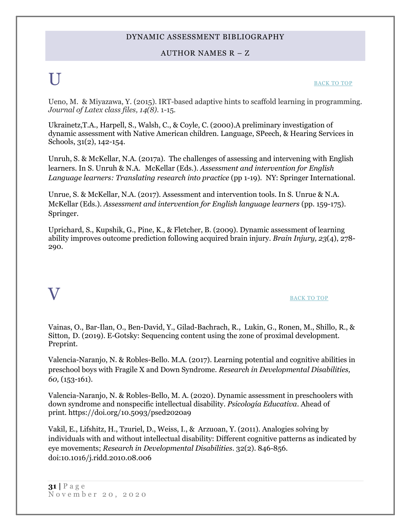## AUTHOR NAMES R – Z

# U [BACK TO TOP](#page-0-1)

Ueno, M. & Miyazawa, Y. (2015). IRT-based adaptive hints to scaffold learning in programming. *Journal of Latex class files, 14(8).* 1-15*.*

Ukrainetz,T.A., Harpell, S., Walsh, C., & Coyle, C. (2000).A preliminary investigation of dynamic assessment with Native American children. Language, SPeech, & Hearing Services in Schools, 31(2), 142-154.

Unruh, S. & McKellar, N.A. (2017a). The challenges of assessing and intervening with English learners. In S. Unruh & N.A. McKellar (Eds.). *Assessment and intervention for English Language learners: Translating research into practice* (pp 1-19). NY: Springer International.

Unrue, S. & McKellar, N.A. (2017). Assessment and intervention tools. In S. Unrue & N.A. McKellar (Eds.). *Assessment and intervention for English language learners* (pp. 159-175). Springer.

Uprichard, S., Kupshik, G., Pine, K., & Fletcher, B. (2009). Dynamic assessment of learning ability improves outcome prediction following acquired brain injury. *Brain Injury, 23*(4), 278- 290.

# <span id="page-30-0"></span> ${\bf V}$  back to top

Vainas, O., Bar-Ilan, O., Ben-David, Y., Gilad-Bachrach, R., Lukin, G., Ronen, M., Shillo, R., & Sitton, D. (2019). E-Gotsky: Sequencing content using the zone of proximal development. Preprint.

Valencia-Naranjo, N. & Robles-Bello. M.A. (2017). Learning potential and cognitive abilities in preschool boys with Fragile X and Down Syndrome. *Research in Developmental Disabilities, 60,* (153-161).

Valencia-Naranjo, N. & Robles-Bello, M. A. (2020). Dynamic assessment in preschoolers with down syndrome and nonspecific intellectual disability. *Psicología Educativa*. Ahead of print. <https://doi.org/10.5093/psed2020a9>

Vakil, E., Lifshitz, H., Tzuriel, D., Weiss, I., & Arzuoan, Y. (2011). Analogies solving by individuals with and without intellectual disability: Different cognitive patterns as indicated by eye movements; *Research in Developmental Disabilities*. 32(2). 846-856. doi:10.1016/j.ridd.2010.08.006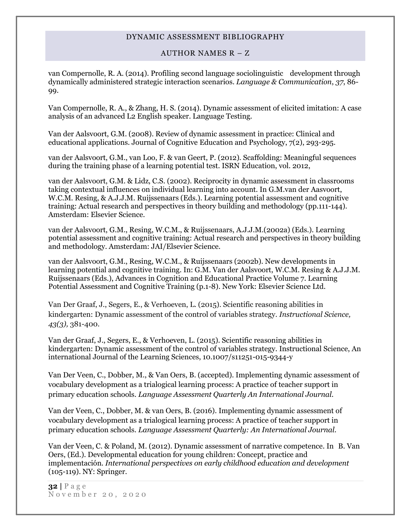## AUTHOR NAMES R – Z

van Compernolle, R. A. (2014). Profiling second language sociolinguistic development through dynamically administered strategic interaction scenarios. *Language & Communication*, *37*, 86- 99.

Van Compernolle, R. A., & Zhang, H. S. (2014). Dynamic assessment of elicited imitation: A case analysis of an advanced L2 English speaker. Language Testing.

Van der Aalsvoort, G.M. (2008). Review of dynamic assessment in practice: Clinical and educational applications. Journal of Cognitive Education and Psychology, 7(2), 293-295.

van der Aalsvoort, G.M., van Loo, F. & van Geert, P. (2012). Scaffolding: Meaningful sequences during the training phase of a learning potential test. ISRN Education, vol. 2012,

van der Aalsvoort, G.M. & Lidz, C.S. (2002). Reciprocity in dynamic assessment in classrooms taking contextual influences on individual learning into account. In G.M.van der Aasvoort, W.C.M. Resing, & A.J.J.M. Ruijssenaars (Eds.). Learning potential assessment and cognitive training: Actual research and perspectives in theory building and methodology (pp.111-144). Amsterdam: Elsevier Science.

van der Aalsvoort, G.M., Resing, W.C.M., & Ruijssenaars, A.J.J.M.(2002a) (Eds.). Learning potential assessment and cognitive training: Actual research and perspectives in theory building and methodology. Amsterdam: JAI/Elsevier Science.

van der Aalsvoort, G.M., Resing, W.C.M., & Ruijssenaars (2002b). New developments in learning potential and cognitive training. In: G.M. Van der Aalsvoort, W.C.M. Resing & A.J.J.M. Ruijssenaars (Eds.), Advances in Cognition and Educational Practice Volume 7. Learning Potential Assessment and Cognitive Training (p.1-8). New York: Elsevier Science Ltd.

Van Der Graaf, J., Segers, E., & Verhoeven, L. (2015). Scientific reasoning abilities in kindergarten: Dynamic assessment of the control of variables strategy. *Instructional Science, 43(3),* 381-400.

Van der Graaf, J., Segers, E., & Verhoeven, L. (2015). Scientific reasoning abilities in kindergarten: Dynamic assessment of the control of variables strategy. Instructional Science, An international Journal of the Learning Sciences, 10.1007/s11251-015-9344-y

Van Der Veen, C., Dobber, M., & Van Oers, B. (accepted). Implementing dynamic assessment of vocabulary development as a trialogical learning process: A practice of teacher support in primary education schools*. Language Assessment Quarterly An International Journal.*

Van der Veen, C., Dobber, M. & van Oers, B. (2016). Implementing dynamic assessment of vocabulary development as a trialogical learning process: A practice of teacher support in primary education schools. *Language Assessment Quarterly: An International Journal.*

Van der Veen, C. & Poland, M. (2012). Dynamic assessment of narrative competence. In B. Van Oers, (Ed.). Developmental education for young children: Concept, practice and implementación. *International perspectives on early childhood education and development* (105-119). NY: Springer.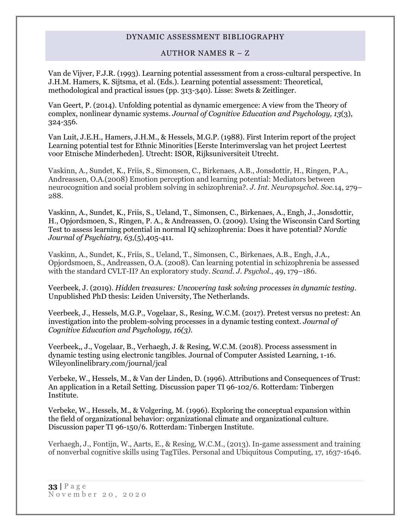#### AUTHOR NAMES R – Z

Van de Vijver, F.J.R. (1993). Learning potential assessment from a cross-cultural perspective. In J.H.M. Hamers, K. Sijtsma, et al. (Eds.). Learning potential assessment: Theoretical, methodological and practical issues (pp. 313-340). Lisse: Swets & Zeitlinger.

Van Geert, P. (2014). Unfolding potential as dynamic emergence: A view from the Theory of complex, nonlinear dynamic systems. *Journal of Cognitive Education and Psychology, 13*(3), 324-356.

Van Luit, J.E.H., Hamers, J.H.M., & Hessels, M.G.P. (1988). First Interim report of the project Learning potential test for Ethnic Minorities [Eerste Interimverslag van het project Leertest voor Etnische Minderheden]. Utrecht: ISOR, Rijksuniversiteit Utrecht.

Vaskinn, A., Sundet, K., Friis, S., Simonsen, C., Birkenaes, A.B., Jonsdottir, H., Ringen, P.A., Andreassen, O.A.(2008) Emotion perception and learning potential: Mediators between neurocognition and social problem solving in schizophrenia?. *J. Int. Neuropsychol. Soc.*14, 279– 288.

Vaskinn, A., Sundet, K., Friis, S., Ueland, T., Simonsen, C., Birkenaes, A., Engh, J., Jonsdottir, H., Opjordsmoen, S., Ringen, P. A., & Andreassen, O. (2009). Using the Wisconsin Card Sorting Test to assess learning potential in normal IQ schizophrenia: Does it have potential? *Nordic Journal of Psychiatry, 63*,(5),405-411.

Vaskinn, A., Sundet, K., Friis, S., Ueland, T., Simonsen, C., Birkenaes, A.B., Engh, J.A., Opjordsmoen, S., Andreassen, O.A. (2008). Can learning potential in schizophrenia be assessed with the standard CVLT-II? An exploratory study. *Scand. J. Psychol.*, 49, 179–186.

Veerbeek, J. (2019). *Hidden treasures: Uncovering task solving processes in dynamic testing.*  Unpublished PhD thesis: Leiden University, The Netherlands.

Veerbeek, J., Hessels, M.G.P., Vogelaar, S., Resing, W.C.M. (2017). Pretest versus no pretest: An investigation into the problem-solving processes in a dynamic testing context. *Journal of Cognitive Education and Psychology, 16(3).*

Veerbeek,, J., Vogelaar, B., Verhaegh, J. & Resing, W.C.M. (2018). Process assessment in dynamic testing using electronic tangibles. Journal of Computer Assisted Learning, 1-16. Wileyonlinelibrary.com/journal/jcal

Verbeke, W., Hessels, M., & Van der Linden, D. (1996). Attributions and Consequences of Trust: An application in a Retail Setting. Discussion paper TI 96-102/6. Rotterdam: Tinbergen Institute.

Verbeke, W., Hessels, M., & Volgering, M. (1996). Exploring the conceptual expansion within the field of organizational behavior: organizational climate and organizational culture. Discussion paper TI 96-150/6. Rotterdam: Tinbergen Institute.

[Verhaegh, J., Fontijn, W., Aarts, E., & Resing, W.C.M., \(2013\). In-game assessment and training](https://www.researchgate.net/publication/281438235_Verhaegh_J._Fontijn_W._Aarts_E.__Resing_W.C.M._%282013%29._In-game_assessment_and_training_of_nonverbal_cognitive_skills_using_TagTiles._Personal_and_Ubiquitous_Computing_17_1637-1646)  [of nonverbal cognitive skills using TagTiles. Personal and Ubiquitous Computing, 17, 1637-1646.](https://www.researchgate.net/publication/281438235_Verhaegh_J._Fontijn_W._Aarts_E.__Resing_W.C.M._%282013%29._In-game_assessment_and_training_of_nonverbal_cognitive_skills_using_TagTiles._Personal_and_Ubiquitous_Computing_17_1637-1646)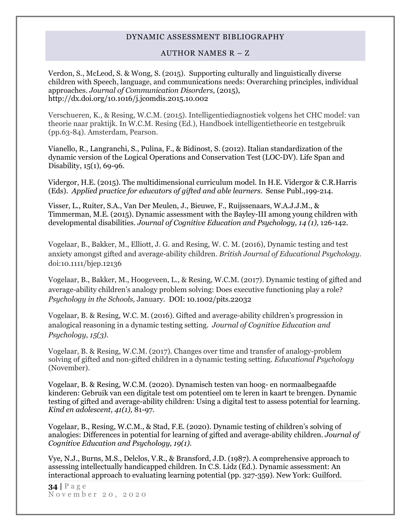#### AUTHOR NAMES R – Z

Verdon, S., McLeod, S. & Wong, S. (2015). Supporting culturally and linguistically diverse children with Speech, language, and communications needs: Overarching principles, individual approaches. *Journal of Communication Disorders,* (2015), <http://dx.doi.org/10.1016/j.jcomdis.2015.10.002>

[Verschueren, K., & Resing, W.C.M. \(2015\). Intelligentiediagnostiek volgens het CHC model: van](https://www.researchgate.net/publication/281437999_Verschueren_K.__Resing_W.C.M._%282015%29._Intelligentiediagnostiek_volgens_het_CHC_model_van_theorie_naar_praktijk._In_W.C.M._Resing_%28Ed.%29_Handboek_intelligentietheorie_en_testgebruik_%28pp.63-84%29._Amsterdam_Pearson)  [theorie naar praktijk. In W.C.M. Resing \(Ed.\), Handboek intelligentietheorie en testgebruik](https://www.researchgate.net/publication/281437999_Verschueren_K.__Resing_W.C.M._%282015%29._Intelligentiediagnostiek_volgens_het_CHC_model_van_theorie_naar_praktijk._In_W.C.M._Resing_%28Ed.%29_Handboek_intelligentietheorie_en_testgebruik_%28pp.63-84%29._Amsterdam_Pearson)  [\(pp.63-84\). Amsterdam, Pearson.](https://www.researchgate.net/publication/281437999_Verschueren_K.__Resing_W.C.M._%282015%29._Intelligentiediagnostiek_volgens_het_CHC_model_van_theorie_naar_praktijk._In_W.C.M._Resing_%28Ed.%29_Handboek_intelligentietheorie_en_testgebruik_%28pp.63-84%29._Amsterdam_Pearson)

Vianello, R., Langranchi, S., Pulina, F., & Bidinost, S. (2012). Italian standardization of the dynamic version of the Logical Operations and Conservation Test (LOC-DV). Life Span and Disability, 15(1), 69-96.

Vidergor, H.E. (2015). The multidimensional curriculum model. In H.E. Vidergor & C.R.Harris (Eds). *Applied practice for educators of gifted and able learners.* Sense Publ.,199-214.

Visser, L., Ruiter, S.A., Van Der Meulen, J., Bieuwe, F., Ruijssenaars, W.A.J.J.M., & Timmerman, M.E. (2015). Dynamic assessment with the Bayley-III among young children with developmental disabilities. *Journal of Cognitive Education and Psychology, 14 (1),* 126-142*.*

Vogelaar, B., Bakker, M., Elliott, J. G. and Resing, W. C. M. (2016), Dynamic testing and test anxiety amongst gifted and average-ability children. *British Journal of Educational Psychology.* doi:10.1111/bjep.12136

Vogelaar, B., Bakker, M., Hoogeveen, L., & Resing, W.C.M. (2017). Dynamic testing of gifted and average-ability children's analogy problem solving: Does executive functioning play a role? *Psychology in the Schools,* January. DOI: 10.1002/pits.22032

Vogelaar, B. & Resing, W.C. M. (2016). Gifted and average-ability children's progression in analogical reasoning in a dynamic testing setting. *Journal of Cognitive Education and Psychology, 15(3).*

Vogelaar, B. & Resing, W.C.M. (2017). Changes over time and transfer of analogy-problem solving of gifted and non-gifted children in a dynamic testing setting. *Educational Psychology*  (November).

Vogelaar, B. & Resing, W.C.M. (2020). Dynamisch testen van hoog- en normaalbegaafde kinderen: Gebruik van een digitale test om potentieel om te leren in kaart te brengen. Dynamic testing of gifted and average-ability children: Using a digital test to assess potential for learning. *Kind en adolescent, 41(1),* 81-97.

Vogelaar, B., Resing, W.C.M., & Stad, F.E. (2020). Dynamic testing of children's solving of analogies: Differences in potential for learning of gifted and average-ability children. *Journal of Cognitive Education and Psychology, 19(1).*

Vye, N.J., Burns, M.S., Delclos, V.R., & Bransford, J.D. (1987). A comprehensive approach to assessing intellectually handicapped children. In C.S. Lidz (Ed.). Dynamic assessment: An interactional approach to evaluating learning potential (pp. 327-359). New York: Guilford.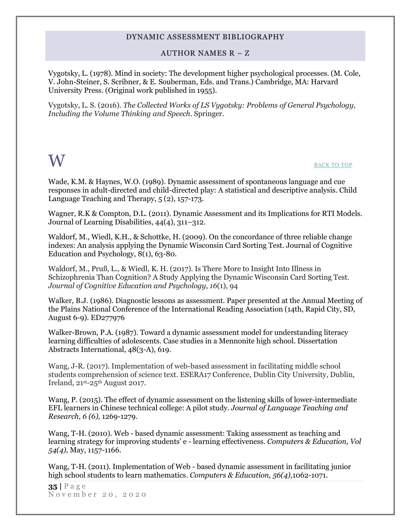## AUTHOR NAMES R – Z

Vygotsky, L. (1978). Mind in society: The development higher psychological processes. (M. Cole, V. John-Steiner, S. Scribner, & E. Souberman, Eds. and Trans.) Cambridge, MA: Harvard University Press. (Original work published in 1955).

Vygotsky, L. S. (2016). *The Collected Works of LS Vygotsky: Problems of General Psychology, Including the Volume Thinking and Speech*. Springer.

# <span id="page-34-0"></span>W [BACK TO TOP](#page-0-1)

Wade, K.M. & Haynes, W.O. (1989). Dynamic assessment of spontaneous language and cue responses in adult-directed and child-directed play: A statistical and descriptive analysis. Child Language Teaching and Therapy, 5 (2), 157-173.

Wagner, R.K & Compton, D.L. (2011). Dynamic Assessment and its Implications for RTI Models. Journal of Learning Disabilities, 44(4), 311–312.

Waldorf, M., Wiedl, K.H., & Schottke, H. (2009). On the concordance of three reliable change indexes: An analysis applying the Dynamic Wisconsin Card Sorting Test. Journal of Cognitive Education and Psychology, 8(1), 63-80.

Waldorf, M., Pruß, L., & Wiedl, K. H. (2017). Is There More to Insight Into Illness in Schizophrenia Than Cognition? A Study Applying the Dynamic Wisconsin Card Sorting Test. *Journal of Cognitive Education and Psychology*, *16*(1), 94

Walker, B.J. (1986). Diagnostic lessons as assessment. Paper presented at the Annual Meeting of the Plains National Conference of the International Reading Association (14th, Rapid City, SD, August 6-9). ED277976

Walker-Brown, P.A. (1987). Toward a dynamic assessment model for understanding literacy learning difficulties of adolescents. Case studies in a Mennonite high school. Dissertation Abstracts International, 48(3-A), 619.

Wang, J-R. (2017). Implementation of web-based assessment in facilitating middle school students comprehension of science text. ESERA17 Conference, Dublin City University, Dublin, Ireland, 21<sup>st</sup>-25<sup>th</sup> August 2017.

Wang, P. (2015). The effect of dynamic assessment on the listening skills of lower-intermediate EFL learners in Chinese technical college: A pilot study. *Journal of Language Teaching and Research, 6 (6),* 1269-1279.

Wang, T-H. (2010). Web - based dynamic assessment: Taking assessment as teaching and learning strategy for improving students' e - learning effectiveness. *Computers & Education, Vol 54(4),* May, 1157-1166.

Wang, T-H. (2011). Implementation of Web - based dynamic assessment in facilitating junior high school students to learn mathematics. *Computers & Education, 56(4)*,1062-1071.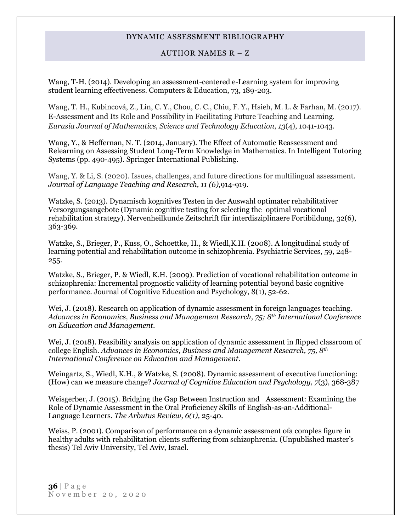#### AUTHOR NAMES R – Z

Wang, T-H. (2014). Developing an assessment-centered e-Learning system for improving student learning effectiveness. Computers & Education, 73, 189-203.

Wang, T. H., Kubincová, Z., Lin, C. Y., Chou, C. C., Chiu, F. Y., Hsieh, M. L. & Farhan, M. (2017). E-Assessment and Its Role and Possibility in Facilitating Future Teaching and Learning. *Eurasia Journal of Mathematics, Science and Technology Education*, *13*(4), 1041-1043.

Wang, Y., & Heffernan, N. T. (2014, January). The Effect of Automatic Reassessment and Relearning on Assessing Student Long-Term Knowledge in Mathematics. In Intelligent Tutoring Systems (pp. 490-495). Springer International Publishing.

Wang, Y. & Li, S. (2020). Issues, challenges, and future directions for multilingual assessment. *Journal of Language Teaching and Research, 11 (6),*914-919.

Watzke, S. (2013). Dynamisch kognitives Testen in der Auswahl optimater rehabilitativer Versorgungsangebote (Dynamic cognitive testing for selecting the optimal vocational rehabilitation strategy). Nervenheilkunde Zeitschrift für interdisziplinaere Fortibildung, 32(6), 363-369.

Watzke, S., Brieger, P., Kuss, O., Schoettke, H., & Wiedl,K.H. (2008). A longitudinal study of learning potential and rehabilitation outcome in schizophrenia. Psychiatric Services, 59, 248- 255.

Watzke, S., Brieger, P. & Wiedl, K.H. (2009). Prediction of vocational rehabilitation outcome in schizophrenia: Incremental prognostic validity of learning potential beyond basic cognitive performance. Journal of Cognitive Education and Psychology, 8(1), 52-62.

Wei, J. (2018). Research on application of dynamic assessment in foreign languages teaching. *Advances in Economics, Business and Management Research, 75; 8th International Conference on Education and Management.*

Wei, J. (2018). Feasibility analysis on application of dynamic assessment in flipped classroom of college English. *Advances in Economics, Business and Management Research, 75, 8th International Conference on Education and Management.* 

Weingartz, S., Wiedl, K.H., & Watzke, S. (2008). Dynamic assessment of executive functioning: (How) can we measure change? *Journal of Cognitive Education and Psychology, 7*(3)*,* 368-387

Weisgerber, J. (2015). Bridging the Gap Between Instruction and Assessment: Examining the Role of Dynamic Assessment in the Oral Proficiency Skills of English-as-an-Additional-Language Learners. *The Arbutus Review, 6(1),* 25-40.

Weiss, P. (2001). Comparison of performance on a dynamic assessment ofa comples figure in healthy adults with rehabilitation clients suffering from schizophrenia. (Unpublished master's thesis) Tel Aviv University, Tel Aviv, Israel.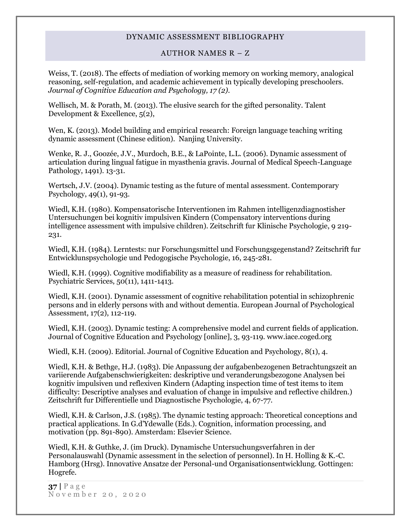## AUTHOR NAMES R – Z

Weiss, T. (2018). The effects of mediation of working memory on working memory, analogical reasoning, self-regulation, and academic achievement in typically developing preschoolers. *Journal of Cognitive Education and Psychology, 17 (2).*

Wellisch, M. & Porath, M. (2013). The elusive search for the gifted personality. Talent Development & Excellence, 5(2),

Wen, K. (2013). Model building and empirical research: Foreign language teaching writing dynamic assessment (Chinese edition). Nanjing University.

Wenke, R. J., Goozée, J.V., Murdoch, B.E., & LaPointe, L.L. (2006). Dynamic assessment of articulation during lingual fatigue in myasthenia gravis. Journal of Medical Speech-Language Pathology, 1491). 13-31.

Wertsch, J.V. (2004). Dynamic testing as the future of mental assessment. Contemporary Psychology, 49(1), 91-93.

Wiedl, K.H. (1980). Kompensatorische Interventionen im Rahmen intelligenzdiagnostisher Untersuchungen bei kognitiv impulsiven Kindern (Compensatory interventions during intelligence assessment with impulsive children). Zeitschrift fur Klinische Psychologie, 9 219- 231.

Wiedl, K.H. (1984). Lerntests: nur Forschungsmittel und Forschungsgegenstand? Zeitschrift fur Entwicklunspsychologie und Pedogogische Psychologie, 16, 245-281.

Wiedl, K.H. (1999). Cognitive modifiability as a measure of readiness for rehabilitation. Psychiatric Services, 50(11), 1411-1413.

Wiedl, K.H. (2001). Dynamic assessment of cognitive rehabilitation potential in schizophrenic persons and in elderly persons with and without dementia. European Journal of Psychological Assessment, 17(2), 112-119.

Wiedl, K.H. (2003). Dynamic testing: A comprehensive model and current fields of application. Journal of Cognitive Education and Psychology [online], 3, 93-119. www.iace.coged.org

Wiedl, K.H. (2009). Editorial. Journal of Cognitive Education and Psychology, 8(1), 4.

Wiedl, K.H. & Bethge, H.J. (1983). Die Anpassung der aufgabenbezogenen Betrachtungszeit an variierende Aufgabenschwierigkeiten: deskriptive und veranderungsbezogone Analysen bei kognitiv impulsiven und reflexiven Kindern (Adapting inspection time of test items to item difficulty: Descriptive analyses and evaluation of change in impulsive and reflective children.) Zeitschrift fur Differentielle und Diagnostische Psychologie, 4, 67-77.

Wiedl, K.H. & Carlson, J.S. (1985). The dynamic testing approach: Theoretical conceptions and practical applications. In G.d'Ydewalle (Eds.). Cognition, information processing, and motivation (pp. 891-890). Amsterdam: Elsevier Science.

Wiedl, K.H. & Guthke, J. (im Druck). Dynamische Untersuchungsverfahren in der Personalauswahl (Dynamic assessment in the selection of personnel). In H. Holling & K.-C. Hamborg (Hrsg). Innovative Ansatze der Personal-und Organisationsentwicklung. Gottingen: Hogrefe.

**37 |** P a g e November 20, 2020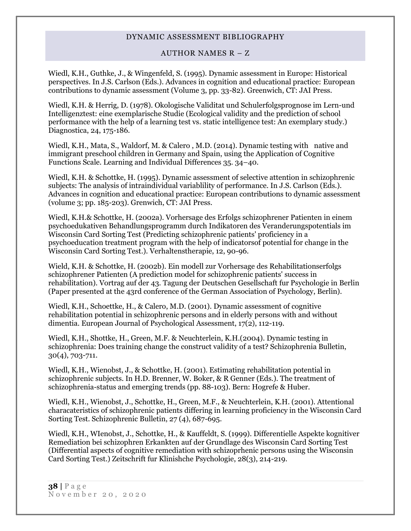#### AUTHOR NAMES R – Z

Wiedl, K.H., Guthke, J., & Wingenfeld, S. (1995). Dynamic assessment in Europe: Historical perspectives. In J.S. Carlson (Eds.). Advances in cognition and educational practice: European contributions to dynamic assessment (Volume 3, pp. 33-82). Greenwich, CT: JAI Press.

Wiedl, K.H. & Herrig, D. (1978). Okologische Validitat und Schulerfolgsprognose im Lern-und Intelligenztest: eine exemplarische Studie (Ecological validity and the prediction of school performance with the help of a learning test vs. static intelligence test: An exemplary study.) Diagnostica, 24, 175-186.

Wiedl, K.H., Mata, S., Waldorf, M. & Calero , M.D. (2014). Dynamic testing with native and immigrant preschool children in Germany and Spain, using the Application of Cognitive Functions Scale. Learning and Individual Differences 35. 34–40.

Wiedl, K.H. & Schottke, H. (1995). Dynamic assessment of selective attention in schizophrenic subjects: The analysis of intraindividual variablility of performance. In J.S. Carlson (Eds.). Advances in cognition and educational practice: European contributions to dynamic assessment (volume 3; pp. 185-203). Grenwich, CT: JAI Press.

Wiedl, K.H.& Schottke, H. (2002a). Vorhersage des Erfolgs schizophrener Patienten in einem psychoedukativen Behandlungsprogramm durch Indikatoren des Veranderungspotentials im Wisconsin Card Sorting Test (Predicting schizophrenic patients' proficiency in a psychoeducation treatment program with the help of indicatorsof potential for change in the Wisconsin Card Sorting Test.). Verhaltenstherapie, 12, 90-96.

Wield, K.H. & Schottke, H. (2002b). Ein modell zur Vorhersage des Rehabilitationserfolgs schizophrener Patienten (A prediction model for schizophrenic patients' success in rehabilitation). Vortrag auf der 43. Tagung der Deutschen Gesellschaft fur Psychologie in Berlin (Paper presented at the 43rd conference of the German Association of Psychology, Berlin).

Wiedl, K.H., Schoettke, H., & Calero, M.D. (2001). Dynamic assessment of cognitive rehabilitation potential in schizophrenic persons and in elderly persons with and without dimentia. European Journal of Psychological Assessment, 17(2), 112-119.

Wiedl, K.H., Shottke, H., Green, M.F. & Neuchterlein, K.H.(2004). Dynamic testing in schizophrenia: Does training change the construct validity of a test? Schizophrenia Bulletin, 30(4), 703-711.

Wiedl, K.H., Wienobst, J., & Schottke, H. (2001). Estimating rehabilitation potential in schizophrenic subjects. In H.D. Brenner, W. Boker, & R Genner (Eds.). The treatment of schizophrenia-status and emerging trends (pp. 88-103). Bern: Hogrefe & Huber.

Wiedl, K.H., Wienobst, J., Schottke, H., Green, M.F., & Neuchterlein, K.H. (2001). Attentional characateristics of schizophrenic patients differing in learning proficiency in the Wisconsin Card Sorting Test. Schizophrenic Bulletin, 27 (4), 687-695.

Wiedl, K.H., WIenobst, J., Schottke, H., & Kauffeldt, S. (1999). Differentielle Aspekte kognitiver Remediation bei schizophren Erkankten auf der Grundlage des Wisconsin Card Sorting Test (Differential aspects of cognitive remediation with schizoprhenic persons using the Wisconsin Card Sorting Test.) Zeitschrift fur Klinishche Psychologie, 28(3), 214-219.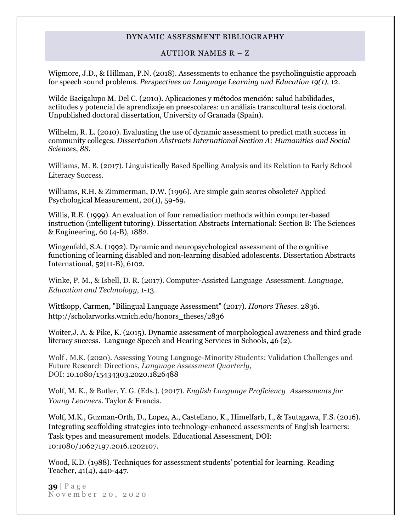#### AUTHOR NAMES R – Z

Wigmore, J.D., & Hillman, P.N. (2018). Assessments to enhance the psycholinguistic approach for speech sound problems. *Perspectives on Language Learning and Education 19(1),* 12.

Wilde Bacigalupo M. Del C. (2010). Aplicaciones y métodos mención: salud habilidades, actitudes y potencial de aprendizaje en preescolares: un análisis transcultural tesis doctoral. Unpublished doctoral dissertation, University of Granada (Spain).

Wilhelm, R. L. (2010). Evaluating the use of dynamic assessment to predict math success in community colleges. *Dissertation Abstracts International Section A: Humanities and Social Sciences*, *88.*

Williams, M. B. (2017). Linguistically Based Spelling Analysis and its Relation to Early School Literacy Success.

Williams, R.H. & Zimmerman, D.W. (1996). Are simple gain scores obsolete? Applied Psychological Measurement, 20(1), 59-69.

Willis, R.E. (1999). An evaluation of four remediation methods within computer-based instruction (intelligent tutoring). Dissertation Abstracts International: Section B: The Sciences & Engineering, 60 (4-B), 1882.

Wingenfeld, S.A. (1992). Dynamic and neuropsychological assessment of the cognitive functioning of learning disabled and non-learning disabled adolescents. Dissertation Abstracts International, 52(11-B), 6102.

Winke, P. M., & Isbell, D. R. (2017). Computer-Assisted Language Assessment. *Language, Education and Technology*, 1-13.

Wittkopp, Carmen, "Bilingual Language Assessment" (2017). *Honors Theses*. 2836. http://scholarworks.wmich.edu/honors\_theses/2836

Woiter,J. A. & Pike, K. (2015). Dynamic assessment of morphological awareness and third grade literacy success. Language Speech and Hearing Services in Schools, 46 (2).

Wolf , M.K. (2020). Assessing Young Language-Minority Students: Validation Challenges and Future Research Directions, *Language Assessment Quarterly,* DOI: 10.1080/15434303.2020.1826488

Wolf, M. K., & Butler, Y. G. (Eds.). (2017). *English Language Proficiency Assessments for Young Learners*. Taylor & Francis.

Wolf, M.K., Guzman-Orth, D., Lopez, A., Castellano, K., Himelfarb, I., & Tsutagawa, F.S. (2016). Integrating scaffolding strategies into technology-enhanced assessments of English learners: Task types and measurement models. Educational Assessment, DOI: 10:1080/10627197.2016.1202107.

Wood, K.D. (1988). Techniques for assessment students' potential for learning. Reading Teacher, 41(4), 440-447.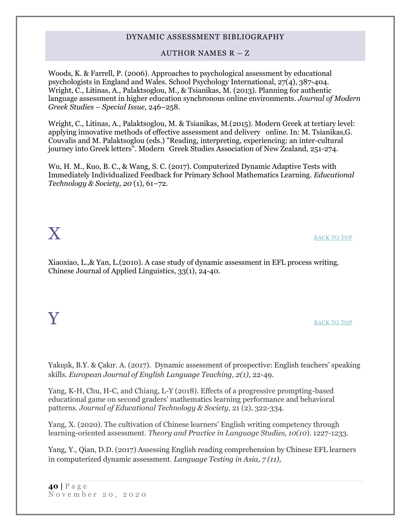#### AUTHOR NAMES R – Z

Woods, K. & Farrell, P. (2006). Approaches to psychological assessment by educational psychologists in England and Wales. School Psychology International, 27(4), 387-404. Wright, C., Litinas, A., Palaktsoglou, M., & Tsianikas, M. (2013). Planning for authentic language assessment in higher education synchronous online environments. *Journal of Modern Greek Studies – Special Issue,* 246–258.

Wright, C., Litinas, A., Palaktsoglou, M. & Tsianikas, M.(2015). Modern Greek at tertiary level: applying innovative methods of effective assessment and delivery online. In: M. Tsianikas,G. Couvalis and M. Palaktsoglou (eds.) "Reading, interpreting, experiencing: an inter-cultural journey into Greek letters". Modern Greek Studies Association of New Zealand, 251-274.

Wu, H. M., Kuo, B. C., & Wang, S. C. (2017). Computerized Dynamic Adaptive Tests with Immediately Individualized Feedback for Primary School Mathematics Learning. *Educational Technology & Society, 20* (1), 61–72.

<span id="page-39-0"></span> $\mathbf X$  back to top

<span id="page-39-1"></span>Xiaoxiao, L.,& Yan, L.(2010). A case study of dynamic assessment in EFL process writing. Chinese Journal of Applied Linguistics, 33(1), 24-40.

# ${\bf Y}$  back to top

Yakışık, B.Y. & Çakır. A. (2017). Dynamic assessment of prospective: English teachers' speaking skills. *European Journal of English Language Teaching, 2(1)*, 22-49.

Yang, K-H, Chu, H-C, and Chiang, L-Y (2018). Effects of a progressive prompting-based educational game on second graders' mathematics learning performance and behavioral patterns. *Journal of Educational Technology & Society*, 21 (2), 322-334.

Yang, X. (2020). The cultivation of Chinese learners' English writing competency through learning-oriented assessment. *Theory and Practice in Language Studies, 10(10*). 1227-1233.

Yang, Y., Qian, D.D. (2017) Assessing English reading comprehension by Chinese EFL learners in computerized dynamic assessment. *Language Testing in Asia, 7 (11),*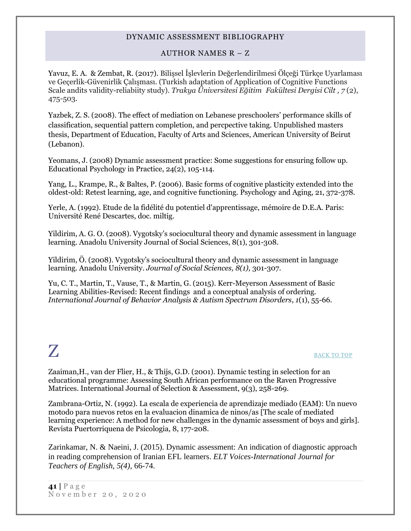## AUTHOR NAMES R – Z

Yavuz, E. A. & Zembat, R. (2017). Bilişsel İşlevlerin Değerlendirilmesi Ölçeği Türkçe Uyarlaması ve Geçerlik-Güvenirlik Çalışması. (Turkish adaptation of Application of Cognitive Functions Scale andits validity-reliabiity study). *Trakya Üniversitesi Eğitim Fakültesi Dergisi Cilt , 7* (2), 475-503.

Yazbek, Z. S. (2008). The effect of mediation on Lebanese preschoolers' performance skills of classification, sequential pattern completion, and percpective taking. Unpublished masters thesis, Department of Education, Faculty of Arts and Sciences, American University of Beirut (Lebanon).

Yeomans, J. (2008) Dynamic assessment practice: Some suggestions for ensuring follow up. Educational Psychology in Practice, 24(2), 105-114.

Yang, L., Krampe, R., & Baltes, P. (2006). Basic forms of cognitive plasticity extended into the oldest-old: Retest learning, age, and cognitive functioning. Psychology and Aging, 21, 372-378.

Yerle, A. (1992). Etude de la fidélité du potentiel d'apprentissage, mémoire de D.E.A. Paris: Université René Descartes, doc. miltig.

Yildirim, A. G. O. (2008). Vygotsky's sociocultural theory and dynamic assessment in language learning. Anadolu University Journal of Social Sciences, 8(1), 301-308.

Yildirim, Ö. (2008). Vygotsky's sociocultural theory and dynamic assessment in language learning. Anadolu University. *Journal of Social Sciences, 8(1),* 301-307.

Yu, C. T., Martin, T., Vause, T., & Martin, G. (2015). Kerr-Meyerson Assessment of Basic Learning Abilities-Revised: Recent findings and a conceptual analysis of ordering. *International Journal of Behavior Analysis & Autism Spectrum Disorders*, *1*(1), 55-66.

# <span id="page-40-0"></span>**Z** [BACK TO TOP](#page-0-1)

Zaaiman,H., van der Flier, H., & Thijs, G.D. (2001). Dynamic testing in selection for an educational programme: Assessing South African performance on the Raven Progressive Matrices. International Journal of Selection & Assessment, 9(3), 258-269.

Zambrana-Ortiz, N. (1992). La escala de experiencia de aprendizaje mediado (EAM): Un nuevo motodo para nuevos retos en la evaluacion dinamica de ninos/as [The scale of mediated learning experience: A method for new challenges in the dynamic assessment of boys and girls]. Revista Puertorriquena de Psicologia, 8, 177-208.

Zarinkamar, N. & Naeini, J. (2015). Dynamic assessment: An indication of diagnostic approach in reading comprehension of Iranian EFL learners. *ELT Voices-International Journal for Teachers of English, 5(4),* 66-74.